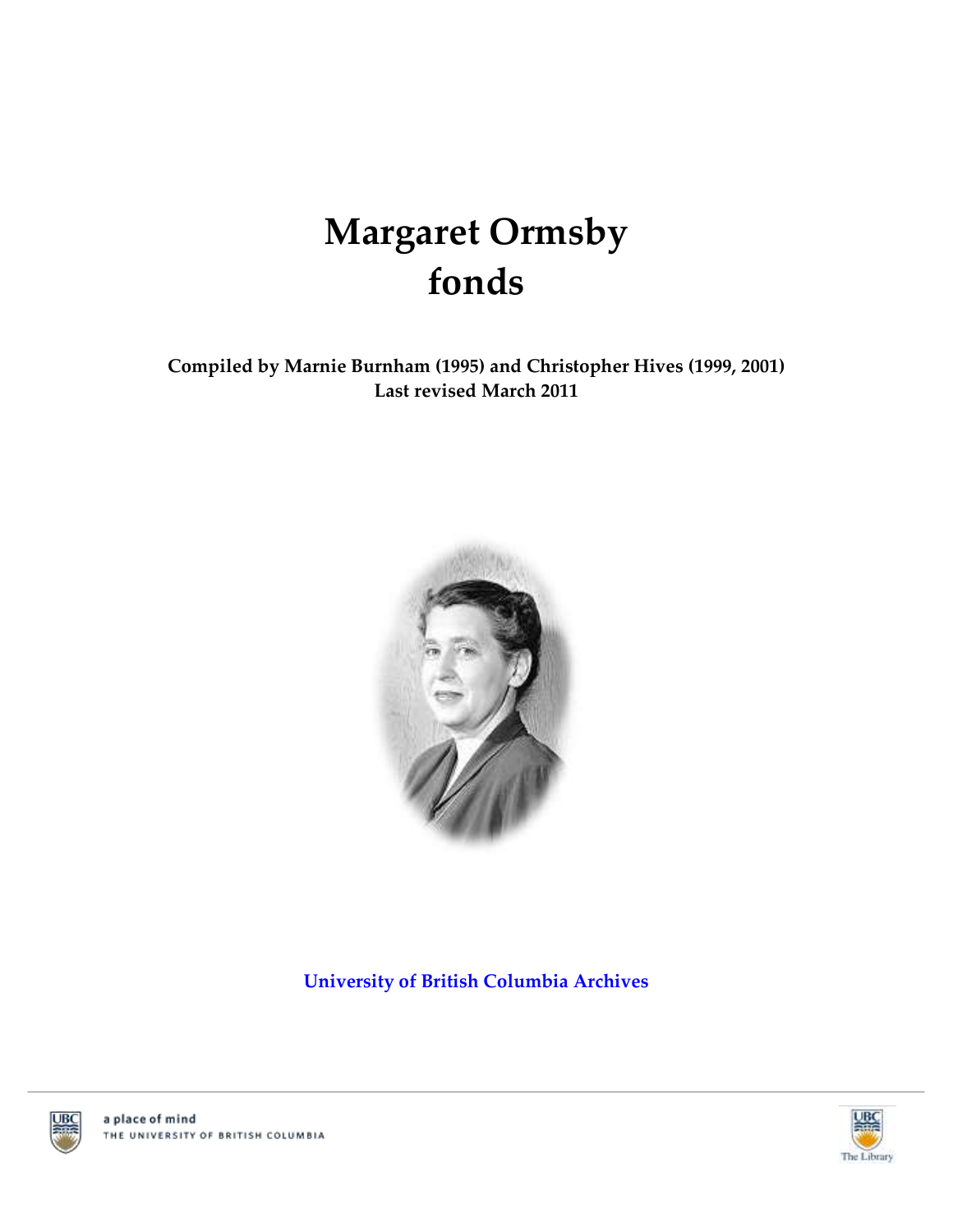# **Margaret Ormsby fonds**

**Compiled by Marnie Burnham (1995) and Christopher Hives (1999, 2001) Last revised March 2011**



**[University of British Columbia Archives](http://www.library.ubc.ca/archives/)**





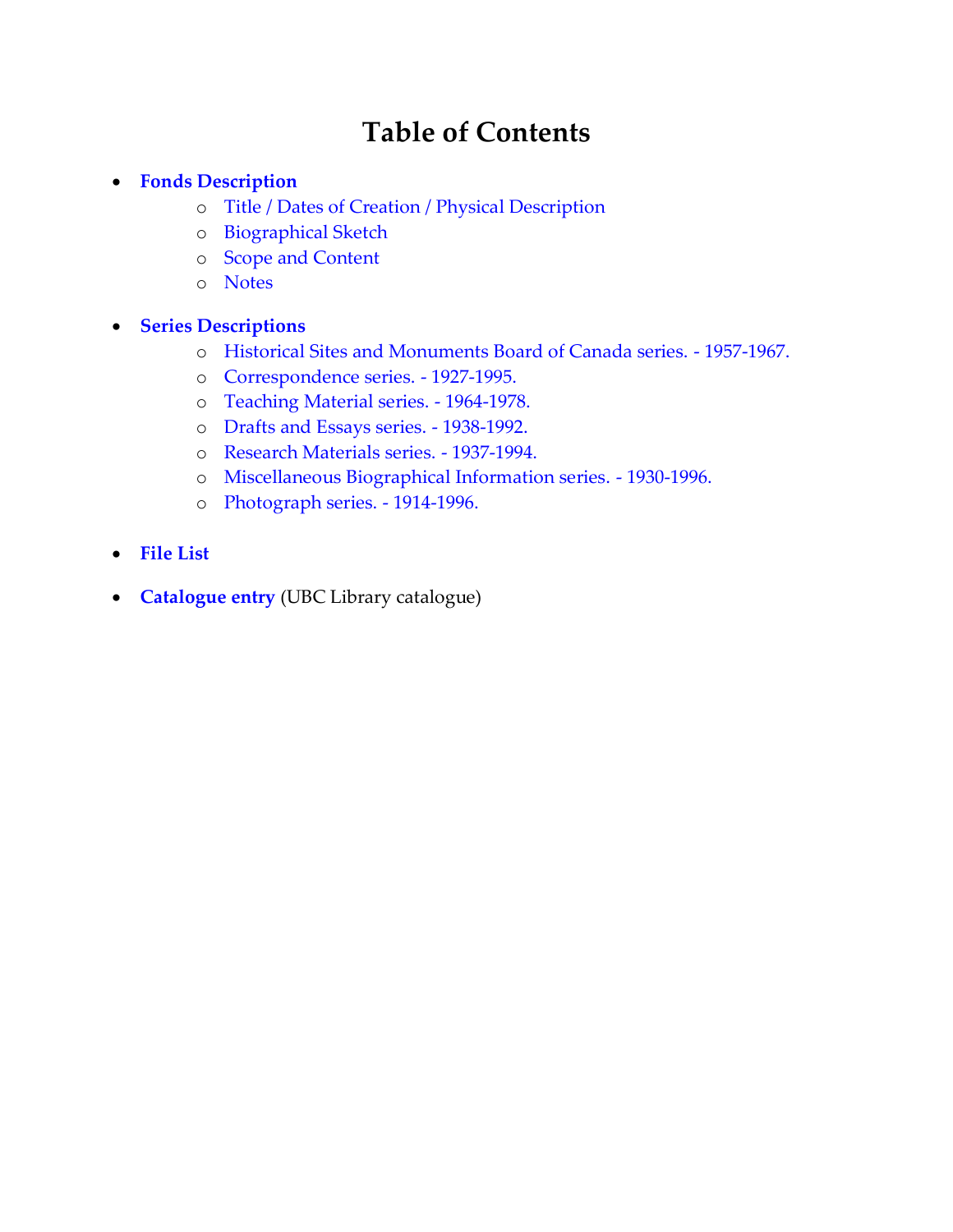# **Table of Contents**

#### **[Fonds Description](#page-2-0)**

- o [Title / Dates of Creation / Physical Description](#page-2-1)
- o [Biographical Sketch](#page-2-2)
- o [Scope and Content](#page-2-3)
- o [Notes](#page-2-4)

#### **[Series Descriptions](#page-4-0)**

- o [Historical Sites and Monuments Board of Canada series. -](#page-4-1) 1957-1967.
- o [Correspondence series. -](#page-4-2) 1927-1995.
- o [Teaching Material series. -](#page-4-3) 1964-1978.
- o [Drafts and Essays series. -](#page-4-4) 1938-1992.
- o [Research Materials series. -](#page-4-5) 1937-1994.
- o [Miscellaneous Biographical Information series. -](#page-5-0) 1930-1996.
- o [Photograph series. -](#page-5-1) 1914-1996.
- **[File List](#page-6-0)**
- **[Catalogue entry](http://resolve.library.ubc.ca/cgi-bin/catsearch?title=Margaret%2BOrmsby%2Bfonds)** (UBC Library catalogue)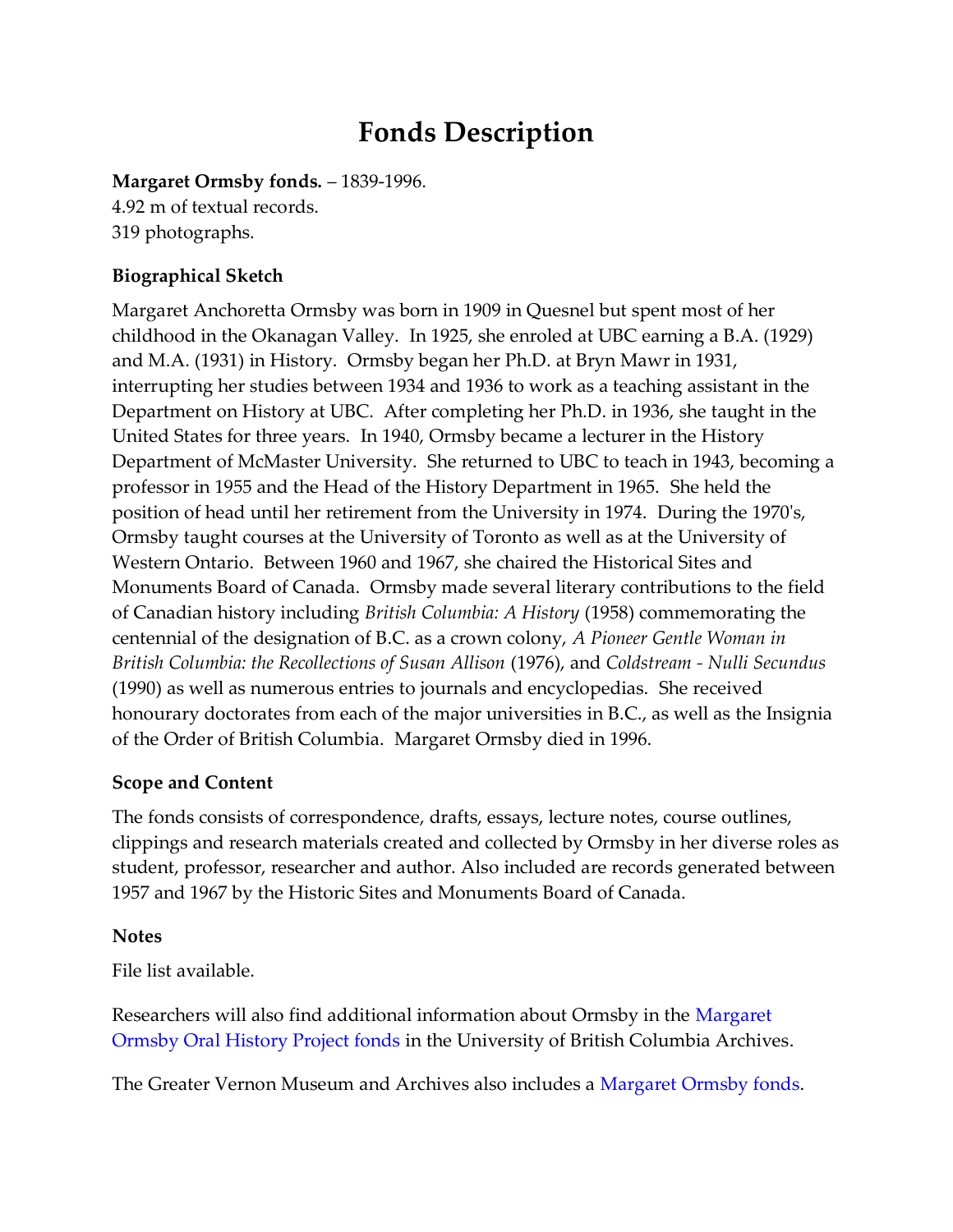# **Fonds Description**

<span id="page-2-1"></span><span id="page-2-0"></span>**Margaret Ormsby fonds.** – 1839-1996. 4.92 m of textual records. 319 photographs.

# <span id="page-2-2"></span>**Biographical Sketch**

Margaret Anchoretta Ormsby was born in 1909 in Quesnel but spent most of her childhood in the Okanagan Valley. In 1925, she enroled at UBC earning a B.A. (1929) and M.A. (1931) in History. Ormsby began her Ph.D. at Bryn Mawr in 1931, interrupting her studies between 1934 and 1936 to work as a teaching assistant in the Department on History at UBC. After completing her Ph.D. in 1936, she taught in the United States for three years. In 1940, Ormsby became a lecturer in the History Department of McMaster University. She returned to UBC to teach in 1943, becoming a professor in 1955 and the Head of the History Department in 1965. She held the position of head until her retirement from the University in 1974. During the 1970's, Ormsby taught courses at the University of Toronto as well as at the University of Western Ontario. Between 1960 and 1967, she chaired the Historical Sites and Monuments Board of Canada. Ormsby made several literary contributions to the field of Canadian history including *British Columbia: A History* (1958) commemorating the centennial of the designation of B.C. as a crown colony, *A Pioneer Gentle Woman in British Columbia: the Recollections of Susan Allison* (1976), and *Coldstream - Nulli Secundus* (1990) as well as numerous entries to journals and encyclopedias. She received honourary doctorates from each of the major universities in B.C., as well as the Insignia of the Order of British Columbia. Margaret Ormsby died in 1996.

### <span id="page-2-3"></span>**Scope and Content**

The fonds consists of correspondence, drafts, essays, lecture notes, course outlines, clippings and research materials created and collected by Ormsby in her diverse roles as student, professor, researcher and author. Also included are records generated between 1957 and 1967 by the Historic Sites and Monuments Board of Canada.

### <span id="page-2-4"></span>**Notes**

File list available.

Researchers will also find additional information about Ormsby in the [Margaret](http://www.library.ubc.ca/archives/u_arch/mags.pdf)  [Ormsby Oral History Project fonds](http://www.library.ubc.ca/archives/u_arch/mags.pdf) in the University of British Columbia Archives.

The Greater Vernon Museum and Archives also includes a Margaret [Ormsby fonds.](http://www.memorybc.ca/dr-margaret-ormsby-fonds;rad)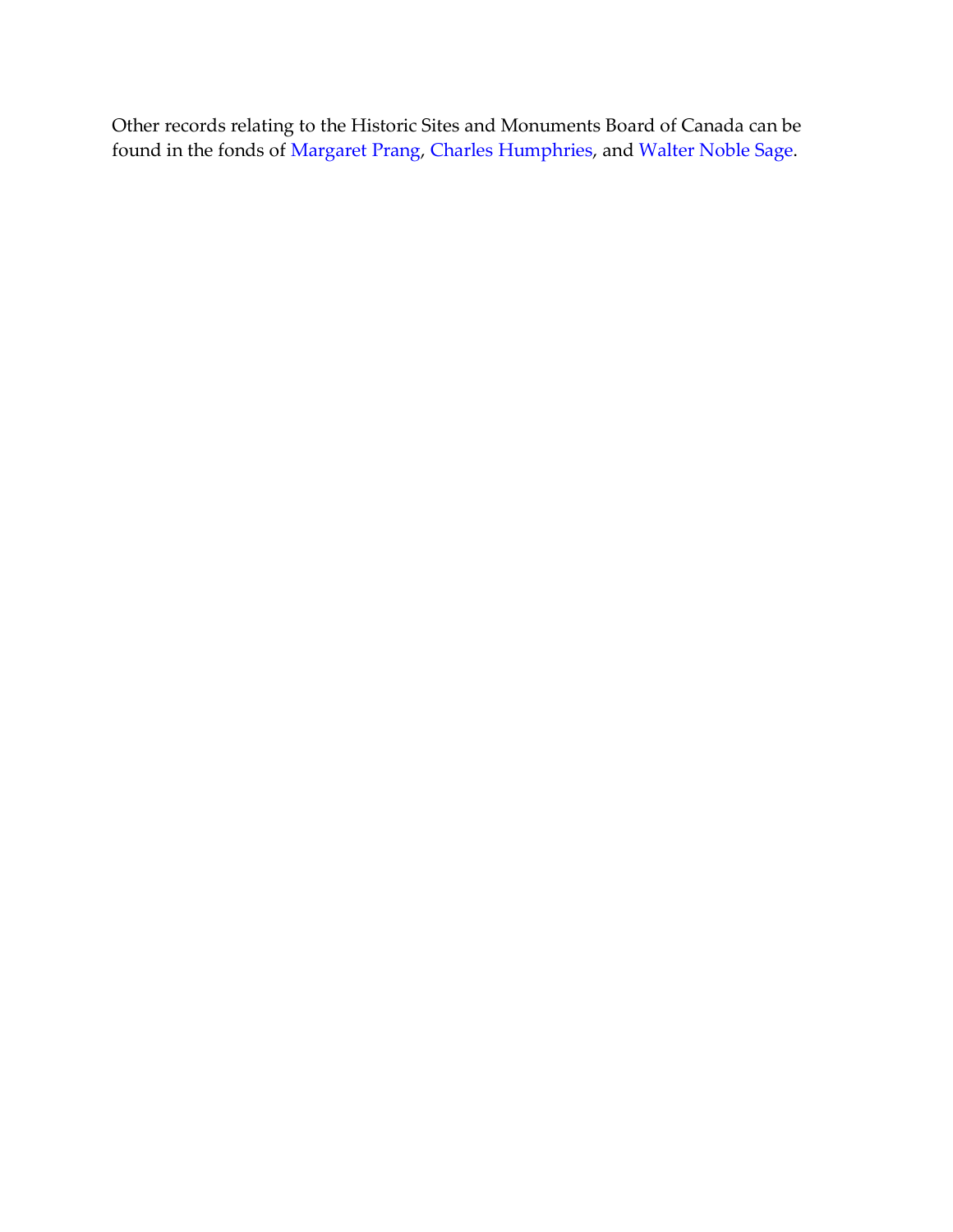Other records relating to the Historic Sites and Monuments Board of Canada can be found in the fonds of [Margaret Prang,](http://www.library.ubc.ca/archives/u_arch/prang.pdf) [Charles Humphries,](http://www.library.ubc.ca/archives/u_arch/humphri.pdf) and [Walter Noble Sage.](http://www.library.ubc.ca/archives/u_arch/sage.pdf)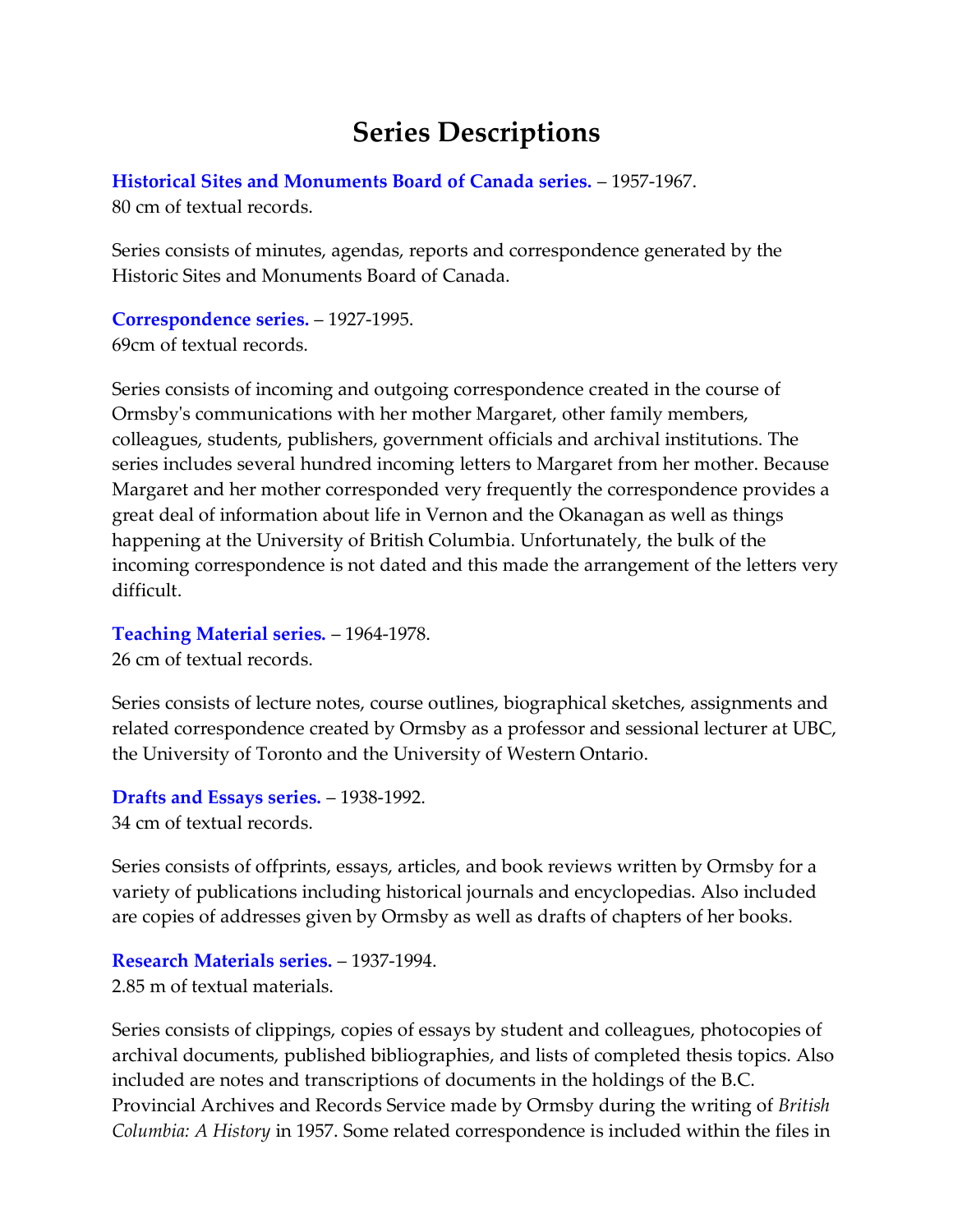# **Series Descriptions**

<span id="page-4-1"></span><span id="page-4-0"></span>**[Historical Sites and Monuments Board of Canada series.](#page-6-1)** – 1957-1967. 80 cm of textual records.

Series consists of minutes, agendas, reports and correspondence generated by the Historic Sites and Monuments Board of Canada.

<span id="page-4-2"></span>**[Correspondence series.](#page-7-0)** – 1927-1995. 69cm of textual records.

Series consists of incoming and outgoing correspondence created in the course of Ormsby's communications with her mother Margaret, other family members, colleagues, students, publishers, government officials and archival institutions. The series includes several hundred incoming letters to Margaret from her mother. Because Margaret and her mother corresponded very frequently the correspondence provides a great deal of information about life in Vernon and the Okanagan as well as things happening at the University of British Columbia. Unfortunately, the bulk of the incoming correspondence is not dated and this made the arrangement of the letters very difficult.

<span id="page-4-3"></span>**[Teaching Material series.](#page-8-0)** – 1964-1978.

26 cm of textual records.

Series consists of lecture notes, course outlines, biographical sketches, assignments and related correspondence created by Ormsby as a professor and sessional lecturer at UBC, the University of Toronto and the University of Western Ontario.

<span id="page-4-4"></span>**[Drafts and Essays series.](#page-8-1)** – 1938-1992. 34 cm of textual records.

Series consists of offprints, essays, articles, and book reviews written by Ormsby for a variety of publications including historical journals and encyclopedias. Also included are copies of addresses given by Ormsby as well as drafts of chapters of her books.

<span id="page-4-5"></span>**[Research Materials series.](#page-10-0)** – 1937-1994. 2.85 m of textual materials.

Series consists of clippings, copies of essays by student and colleagues, photocopies of archival documents, published bibliographies, and lists of completed thesis topics. Also included are notes and transcriptions of documents in the holdings of the B.C. Provincial Archives and Records Service made by Ormsby during the writing of *British Columbia: A History* in 1957. Some related correspondence is included within the files in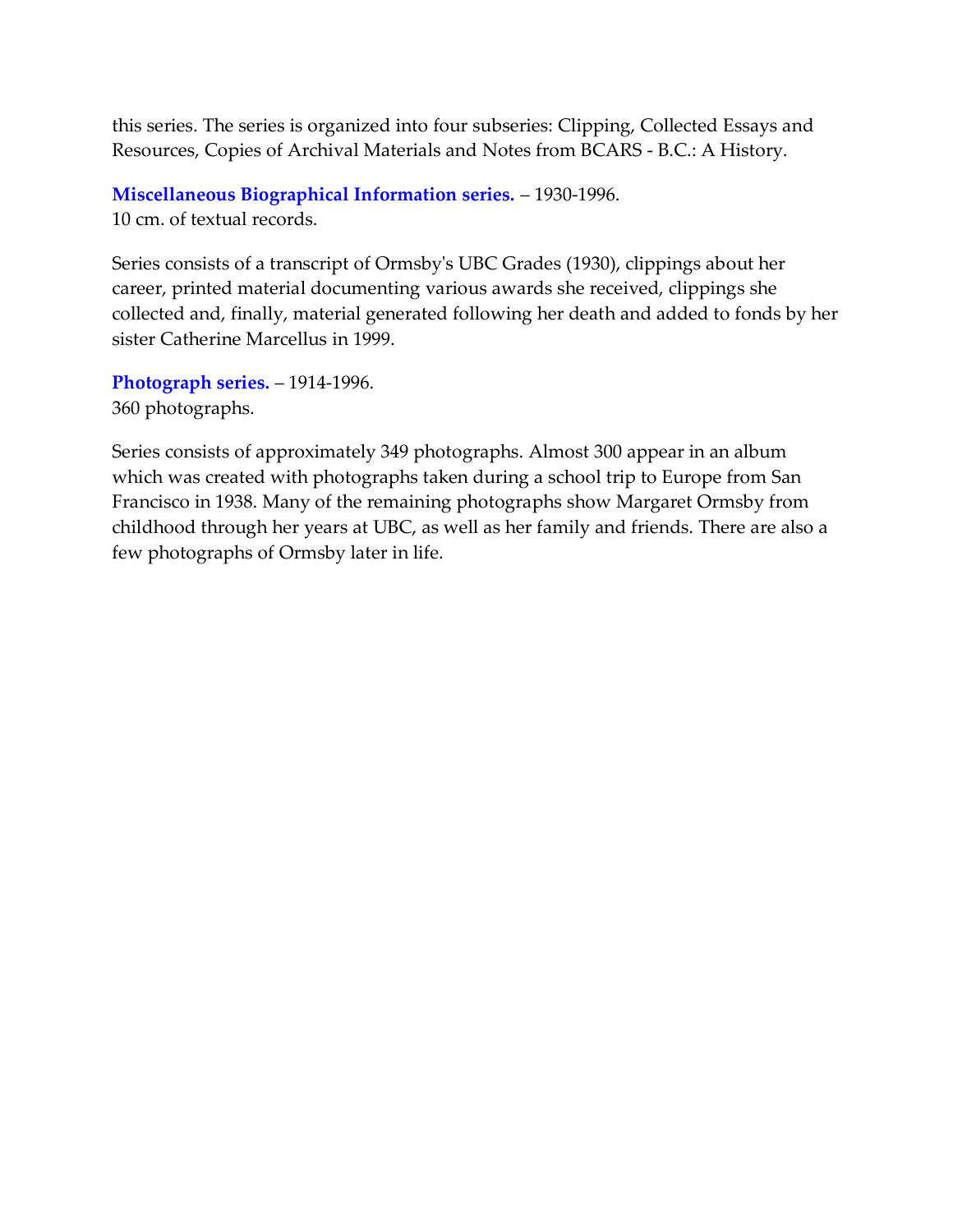this series. The series is organized into four subseries: Clipping, Collected Essays and Resources, Copies of Archival Materials and Notes from BCARS - B.C.: A History.

<span id="page-5-0"></span>**[Miscellaneous Biographical Information series.](#page-36-0)** – 1930-1996. 10 cm. of textual records.

Series consists of a transcript of Ormsby's UBC Grades (1930), clippings about her career, printed material documenting various awards she received, clippings she collected and, finally, material generated following her death and added to fonds by her sister Catherine Marcellus in 1999.

<span id="page-5-1"></span>**[Photograph series.](#page-36-1)** – 1914-1996. 360 photographs.

Series consists of approximately 349 photographs. Almost 300 appear in an album which was created with photographs taken during a school trip to Europe from San Francisco in 1938. Many of the remaining photographs show Margaret Ormsby from childhood through her years at UBC, as well as her family and friends. There are also a few photographs of Ormsby later in life.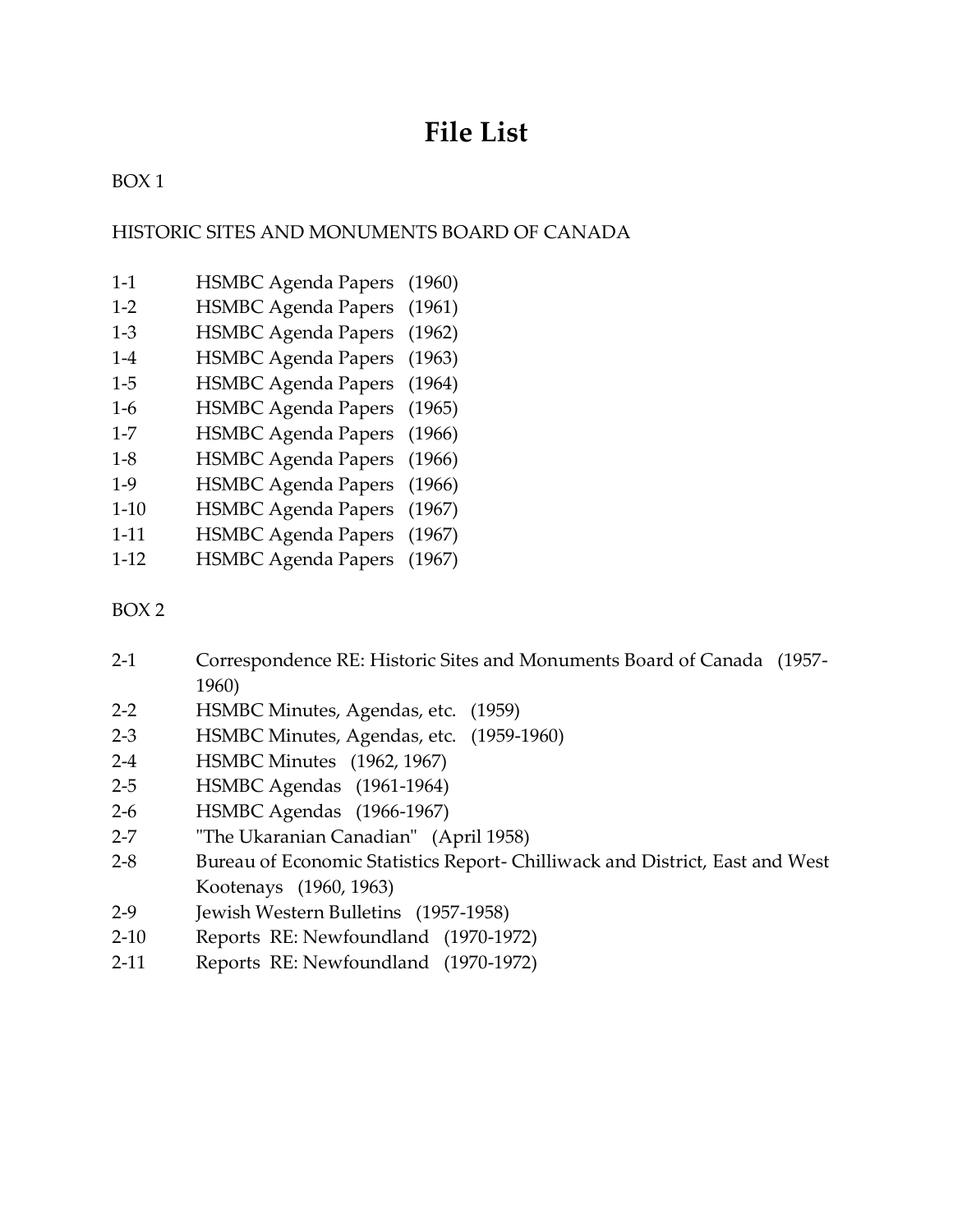# **File List**

# <span id="page-6-0"></span>BOX 1

### <span id="page-6-1"></span>HISTORIC SITES AND MONUMENTS BOARD OF CANADA

- 1-1 HSMBC Agenda Papers (1960)
- 1-2 HSMBC Agenda Papers (1961)
- 1-3 HSMBC Agenda Papers (1962)
- 1-4 HSMBC Agenda Papers (1963)
- 1-5 HSMBC Agenda Papers (1964)
- 1-6 HSMBC Agenda Papers (1965)
- 1-7 HSMBC Agenda Papers (1966)
- 1-8 HSMBC Agenda Papers (1966)
- 1-9 HSMBC Agenda Papers (1966)
- 1-10 HSMBC Agenda Papers (1967)
- 1-11 HSMBC Agenda Papers (1967)
- 1-12 HSMBC Agenda Papers (1967)

#### BOX 2

- 2-1 Correspondence RE: Historic Sites and Monuments Board of Canada (1957- 1960)
- 2-2 HSMBC Minutes, Agendas, etc. (1959)
- 2-3 HSMBC Minutes, Agendas, etc. (1959-1960)
- 2-4 HSMBC Minutes (1962, 1967)
- 2-5 HSMBC Agendas (1961-1964)
- 2-6 HSMBC Agendas (1966-1967)
- 2-7 "The Ukaranian Canadian" (April 1958)
- 2-8 Bureau of Economic Statistics Report- Chilliwack and District, East and West Kootenays (1960, 1963)
- 2-9 Jewish Western Bulletins (1957-1958)
- 2-10 Reports RE: Newfoundland (1970-1972)
- 2-11 Reports RE: Newfoundland (1970-1972)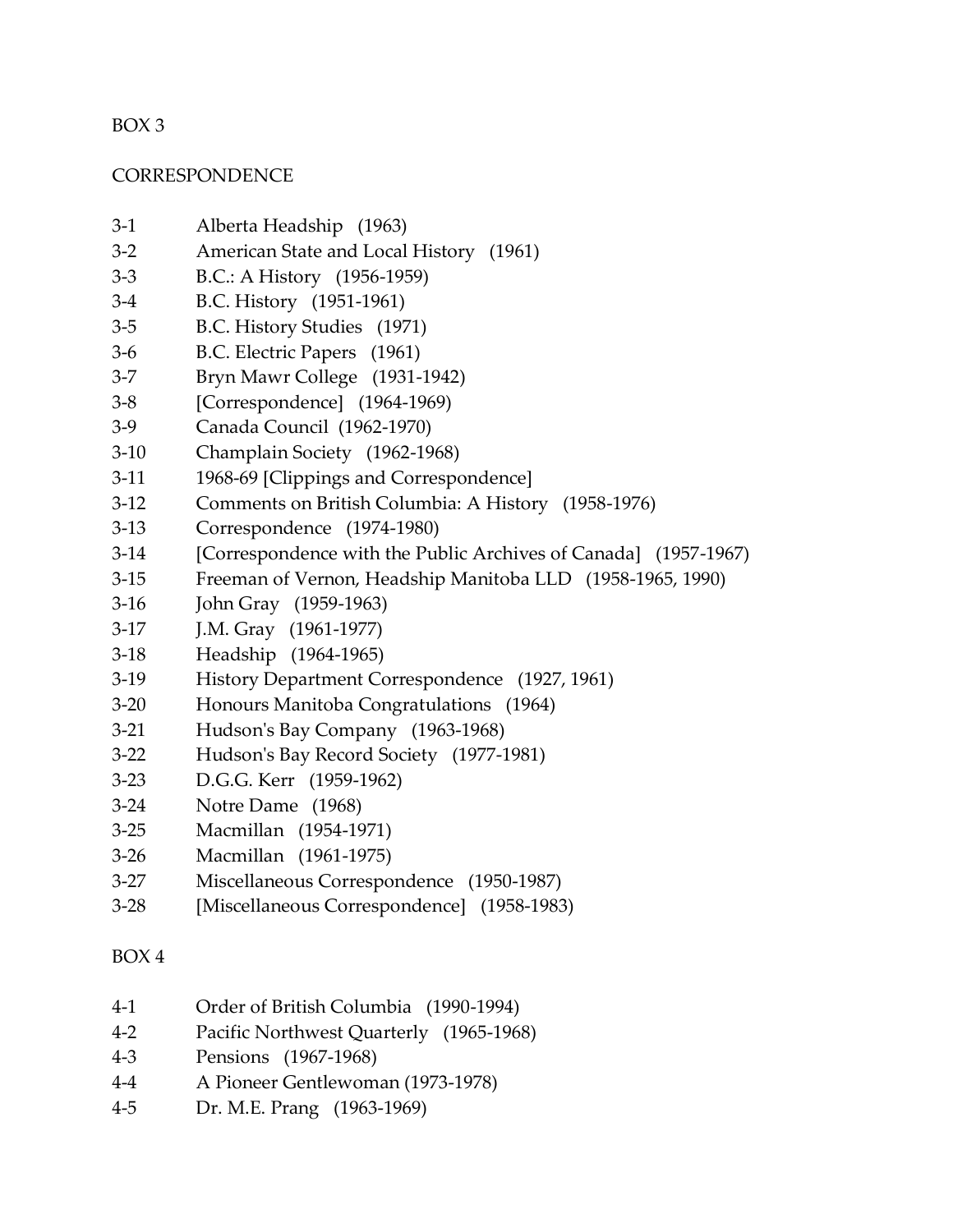#### <span id="page-7-0"></span>**CORRESPONDENCE**

- 3-1 Alberta Headship (1963)
- 3-2 American State and Local History (1961)
- 3-3 B.C.: A History (1956-1959)
- 3-4 B.C. History (1951-1961)
- 3-5 B.C. History Studies (1971)
- 3-6 B.C. Electric Papers (1961)
- 3-7 Bryn Mawr College (1931-1942)
- 3-8 [Correspondence] (1964-1969)
- 3-9 Canada Council (1962-1970)
- 3-10 Champlain Society (1962-1968)
- 3-11 1968-69 [Clippings and Correspondence]
- 3-12 Comments on British Columbia: A History (1958-1976)
- 3-13 Correspondence (1974-1980)
- 3-14 [Correspondence with the Public Archives of Canada] (1957-1967)
- 3-15 Freeman of Vernon, Headship Manitoba LLD (1958-1965, 1990)
- 3-16 John Gray (1959-1963)
- 3-17 **J.M. Gray** (1961-1977)
- 3-18 Headship (1964-1965)
- 3-19 History Department Correspondence (1927, 1961)
- 3-20 Honours Manitoba Congratulations (1964)
- 3-21 Hudson's Bay Company (1963-1968)
- 3-22 Hudson's Bay Record Society (1977-1981)
- 3-23 D.G.G. Kerr (1959-1962)
- 3-24 Notre Dame (1968)
- 3-25 Macmillan (1954-1971)
- 3-26 Macmillan (1961-1975)
- 3-27 Miscellaneous Correspondence (1950-1987)
- 3-28 [Miscellaneous Correspondence] (1958-1983)

# BOX 4

- 4-1 Order of British Columbia (1990-1994)
- 4-2 Pacific Northwest Quarterly (1965-1968)
- 4-3 Pensions (1967-1968)
- 4-4 A Pioneer Gentlewoman (1973-1978)
- 4-5 Dr. M.E. Prang (1963-1969)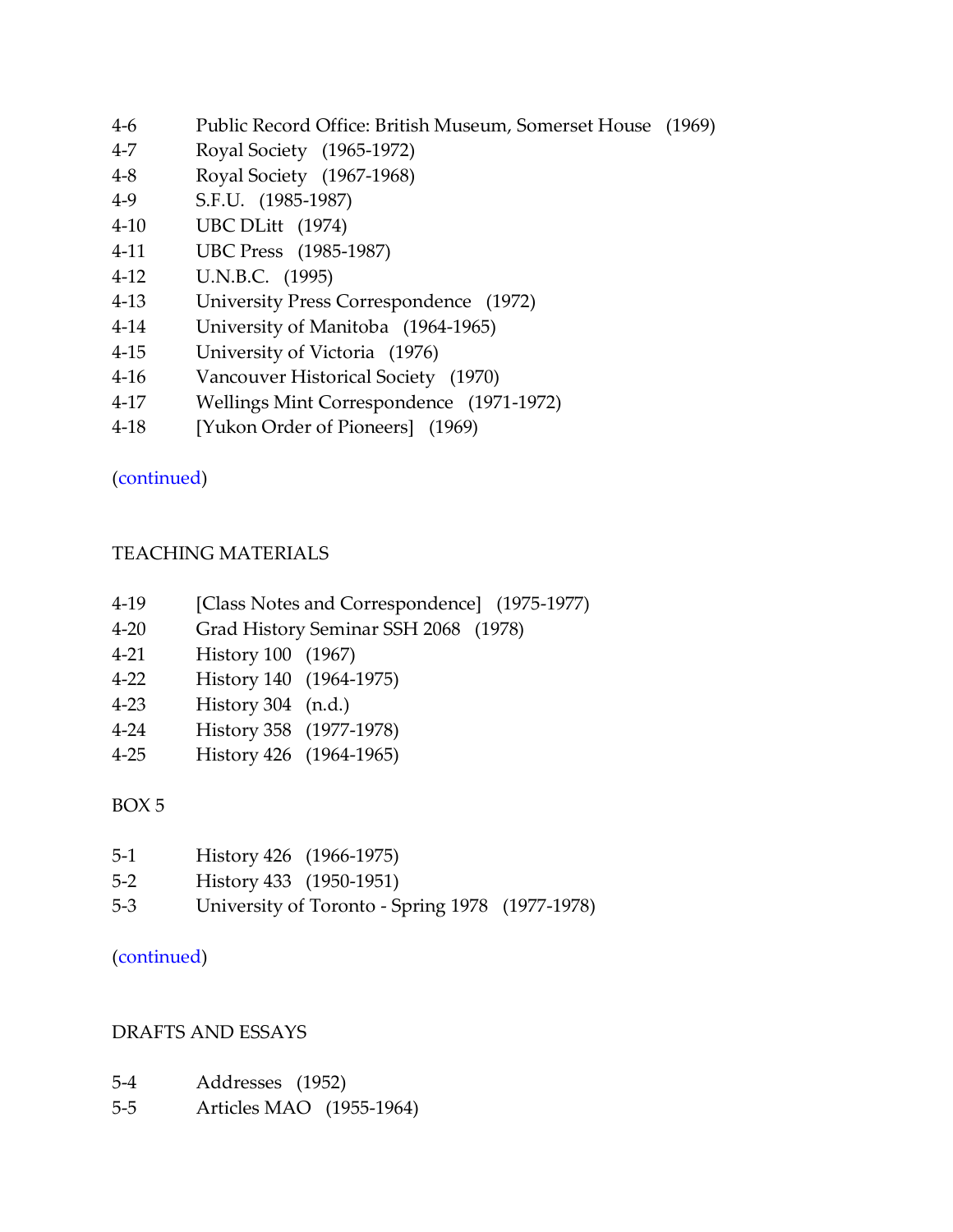- 4-6 Public Record Office: British Museum, Somerset House (1969)
- 4-7 Royal Society (1965-1972)
- 4-8 Royal Society (1967-1968)
- 4-9 S.F.U. (1985-1987)
- 4-10 UBC DLitt (1974)
- 4-11 UBC Press (1985-1987)
- 4-12 U.N.B.C. (1995)
- 4-13 University Press Correspondence (1972)
- 4-14 University of Manitoba (1964-1965)
- 4-15 University of Victoria (1976)
- 4-16 Vancouver Historical Society (1970)
- 4-17 Wellings Mint Correspondence (1971-1972)
- 4-18 [Yukon Order of Pioneers] (1969)

[\(continued\)](#page-34-0)

# <span id="page-8-0"></span>TEACHING MATERIALS

- 4-19 [Class Notes and Correspondence] (1975-1977)
- 4-20 Grad History Seminar SSH 2068 (1978)
- 4-21 History 100 (1967)
- 4-22 History 140 (1964-1975)
- 4-23 History 304 (n.d.)
- 4-24 History 358 (1977-1978)
- 4-25 History 426 (1964-1965)

# BOX 5

| $5-1$   | History 426 (1966-1975)                         |  |
|---------|-------------------------------------------------|--|
| $5-2$   | History 433 (1950-1951)                         |  |
| $5 - 3$ | University of Toronto - Spring 1978 (1977-1978) |  |

### [\(continued\)](#page-38-0)

### <span id="page-8-1"></span>DRAFTS AND ESSAYS

- 5-4 Addresses (1952)
- 5-5 Articles MAO (1955-1964)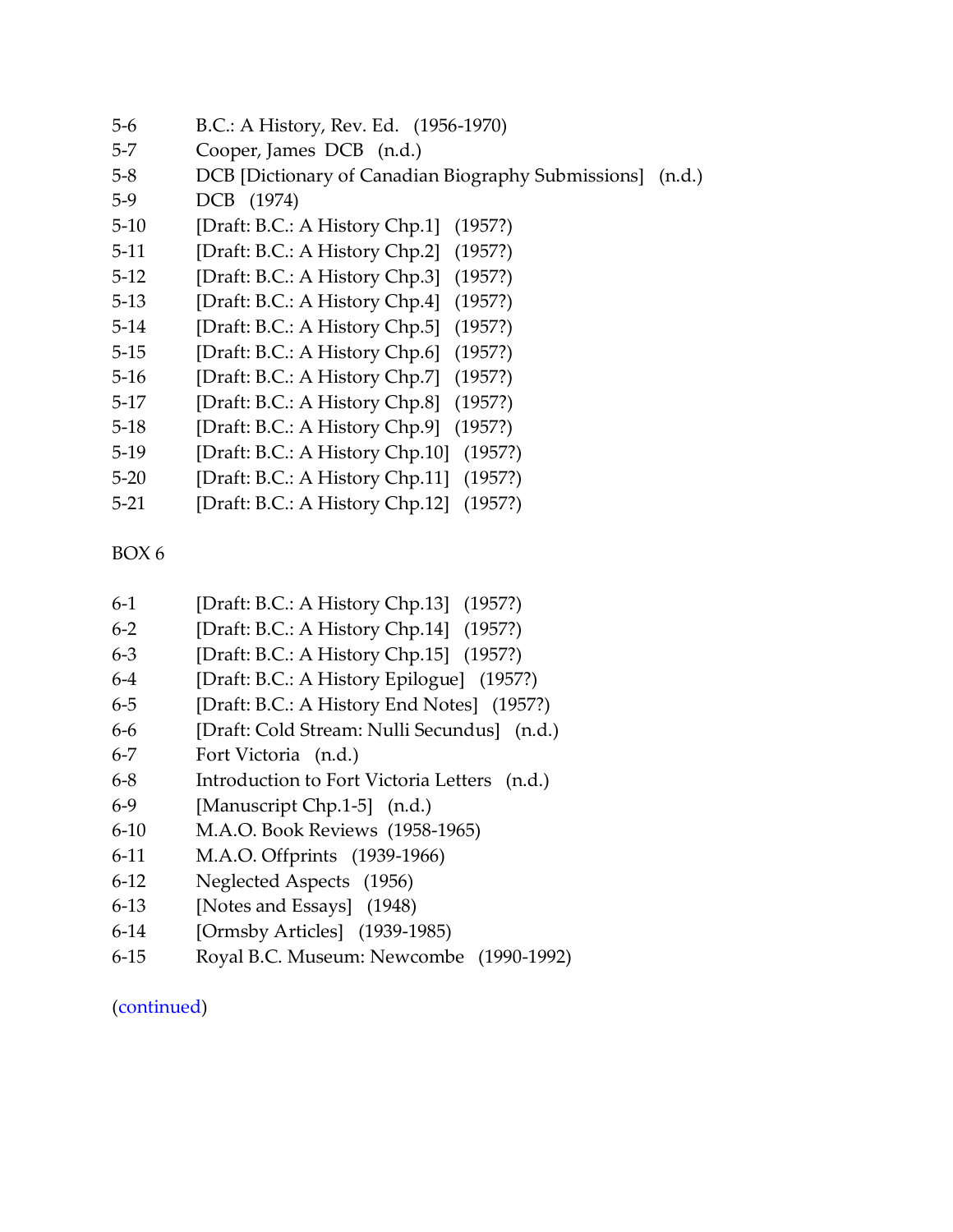- 5-6 B.C.: A History, Rev. Ed. (1956-1970)
- 5-7 Cooper, James DCB (n.d.)
- 5-8 DCB [Dictionary of Canadian Biography Submissions] (n.d.)
- 5-9 DCB (1974)
- 5-10 [Draft: B.C.: A History Chp.1] (1957?)
- 5-11 [Draft: B.C.: A History Chp.2] (1957?)
- 5-12 [Draft: B.C.: A History Chp.3] (1957?)
- 5-13 [Draft: B.C.: A History Chp.4] (1957?)
- 5-14 [Draft: B.C.: A History Chp.5] (1957?)
- 5-15 [Draft: B.C.: A History Chp.6] (1957?)
- 5-16 [Draft: B.C.: A History Chp.7] (1957?)
- 5-17 [Draft: B.C.: A History Chp.8] (1957?)
- 5-18 [Draft: B.C.: A History Chp.9] (1957?)
- 5-19 [Draft: B.C.: A History Chp.10] (1957?)
- 5-20 [Draft: B.C.: A History Chp.11] (1957?)
- 5-21 [Draft: B.C.: A History Chp.12] (1957?)

- 6-1 [Draft: B.C.: A History Chp.13] (1957?)
- 6-2 [Draft: B.C.: A History Chp.14] (1957?)
- 6-3 [Draft: B.C.: A History Chp.15] (1957?)
- 6-4 [Draft: B.C.: A History Epilogue] (1957?)
- 6-5 [Draft: B.C.: A History End Notes] (1957?)
- 6-6 [Draft: Cold Stream: Nulli Secundus] (n.d.)
- 6-7 Fort Victoria (n.d.)
- 6-8 Introduction to Fort Victoria Letters (n.d.)
- 6-9 [Manuscript Chp.1-5] (n.d.)
- 6-10 M.A.O. Book Reviews (1958-1965)
- 6-11 M.A.O. Offprints (1939-1966)
- 6-12 Neglected Aspects (1956)
- 6-13 [Notes and Essays] (1948)
- 6-14 [Ormsby Articles] (1939-1985)
- 6-15 Royal B.C. Museum: Newcombe (1990-1992)

### [\(continued\)](#page-38-1)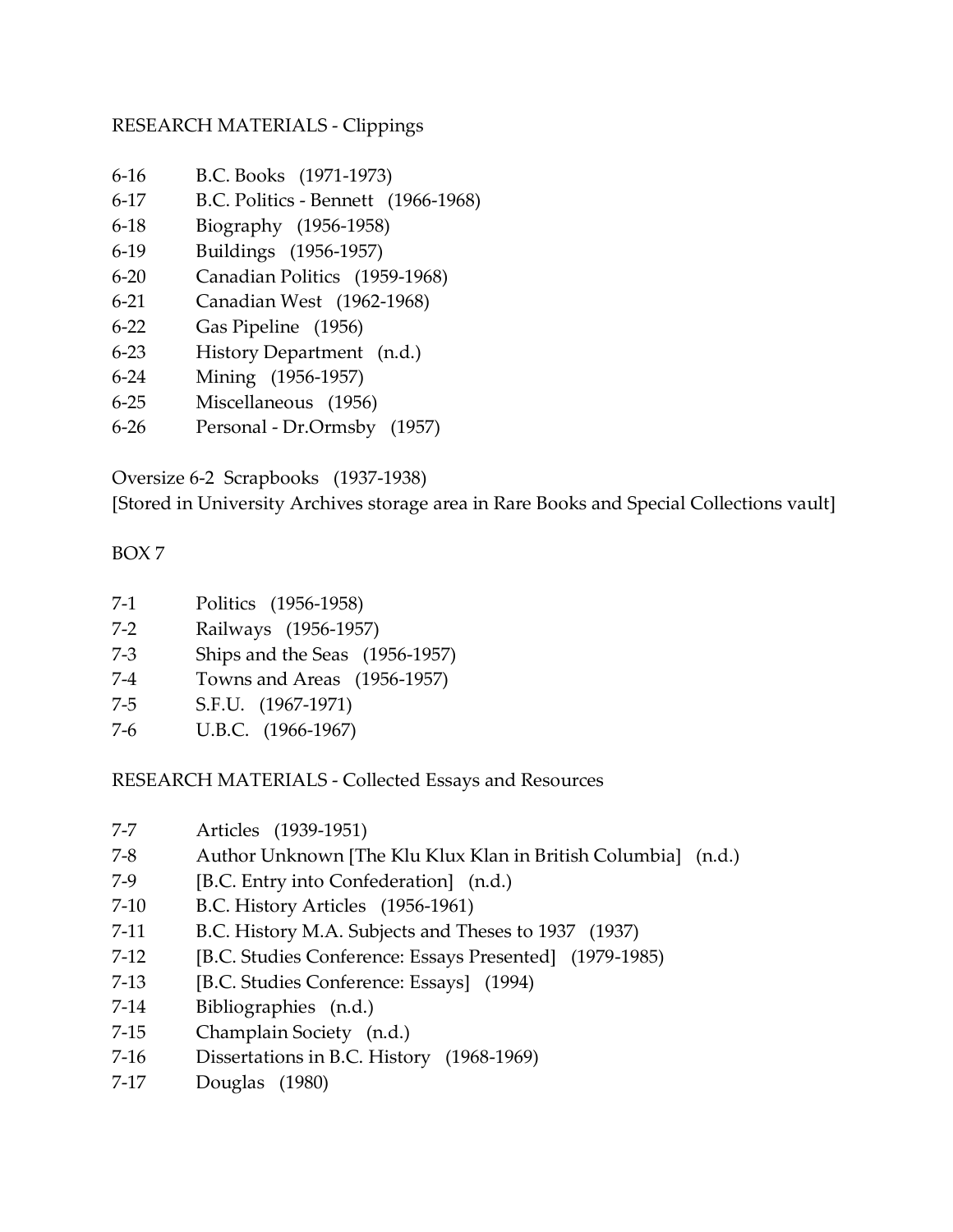# <span id="page-10-0"></span>RESEARCH MATERIALS - Clippings

- 6-16 B.C. Books (1971-1973)
- 6-17 B.C. Politics Bennett (1966-1968)
- 6-18 Biography (1956-1958)
- 6-19 Buildings (1956-1957)
- 6-20 Canadian Politics (1959-1968)
- 6-21 Canadian West (1962-1968)
- 6-22 Gas Pipeline (1956)
- 6-23 History Department (n.d.)
- 6-24 Mining (1956-1957)
- 6-25 Miscellaneous (1956)
- 6-26 Personal Dr.Ormsby (1957)

Oversize 6-2 Scrapbooks (1937-1938)

[Stored in University Archives storage area in Rare Books and Special Collections vault]

# BOX 7

| $7-1$ | Politics (1956-1958)           |
|-------|--------------------------------|
| $7-2$ | Railways (1956-1957)           |
| $7-3$ | Ships and the Seas (1956-1957) |
| $7-4$ | Towns and Areas (1956-1957)    |
| $7-5$ | S.F.U. (1967-1971)             |
| 7-6   | U.B.C. (1966-1967)             |

RESEARCH MATERIALS - Collected Essays and Resources

- 7-7 Articles (1939-1951)
- 7-8 Author Unknown [The Klu Klux Klan in British Columbia] (n.d.)
- 7-9 [B.C. Entry into Confederation] (n.d.)
- 7-10 B.C. History Articles (1956-1961)
- 7-11 B.C. History M.A. Subjects and Theses to 1937 (1937)
- 7-12 [B.C. Studies Conference: Essays Presented] (1979-1985)
- 7-13 [B.C. Studies Conference: Essays] (1994)
- 7-14 Bibliographies (n.d.)
- 7-15 Champlain Society (n.d.)
- 7-16 Dissertations in B.C. History (1968-1969)
- 7-17 Douglas (1980)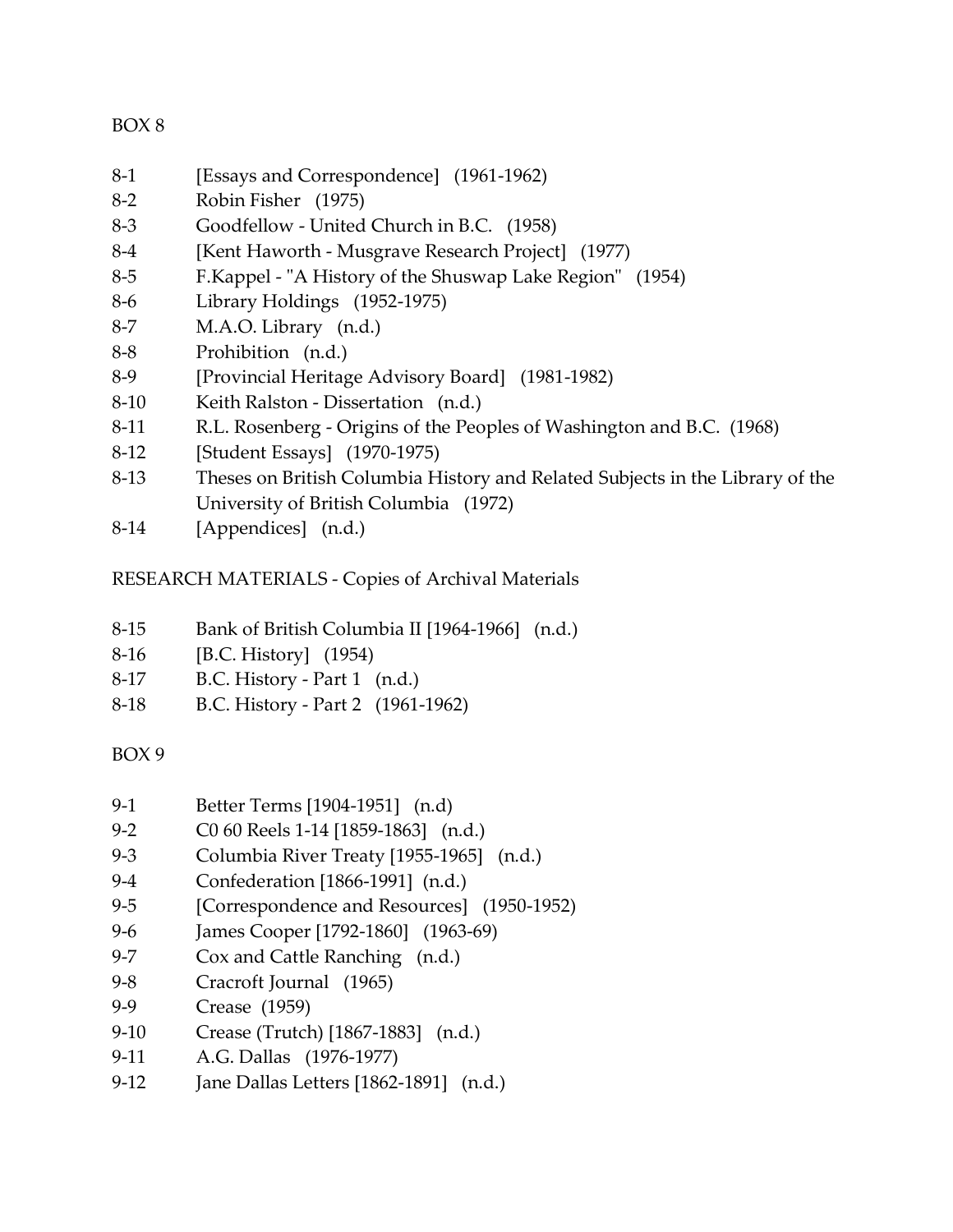- 8-1 [Essays and Correspondence] (1961-1962)
- 8-2 Robin Fisher (1975)
- 8-3 Goodfellow United Church in B.C. (1958)
- 8-4 [Kent Haworth Musgrave Research Project] (1977)
- 8-5 F.Kappel "A History of the Shuswap Lake Region" (1954)
- 8-6 Library Holdings (1952-1975)
- 8-7 M.A.O. Library (n.d.)
- 8-8 Prohibition (n.d.)
- 8-9 [Provincial Heritage Advisory Board] (1981-1982)
- 8-10 Keith Ralston Dissertation (n.d.)
- 8-11 R.L. Rosenberg Origins of the Peoples of Washington and B.C. (1968)
- 8-12 [Student Essays] (1970-1975)
- 8-13 Theses on British Columbia History and Related Subjects in the Library of the University of British Columbia (1972)
- 8-14 [Appendices] (n.d.)

# RESEARCH MATERIALS - Copies of Archival Materials

- 8-15 Bank of British Columbia II [1964-1966] (n.d.)
- 8-16 [B.C. History] (1954)
- 8-17 B.C. History Part 1 (n.d.)
- 8-18 B.C. History Part 2 (1961-1962)

# BOX 9

- 9-1 Better Terms [1904-1951] (n.d)
- 9-2 C0 60 Reels 1-14 [1859-1863] (n.d.)
- 9-3 Columbia River Treaty [1955-1965] (n.d.)
- 9-4 Confederation [1866-1991] (n.d.)
- 9-5 [Correspondence and Resources] (1950-1952)
- 9-6 James Cooper [1792-1860] (1963-69)
- 9-7 Cox and Cattle Ranching (n.d.)
- 9-8 Cracroft Journal (1965)
- 9-9 Crease (1959)
- 9-10 Crease (Trutch) [1867-1883] (n.d.)
- 9-11 A.G. Dallas (1976-1977)
- 9-12 Jane Dallas Letters [1862-1891] (n.d.)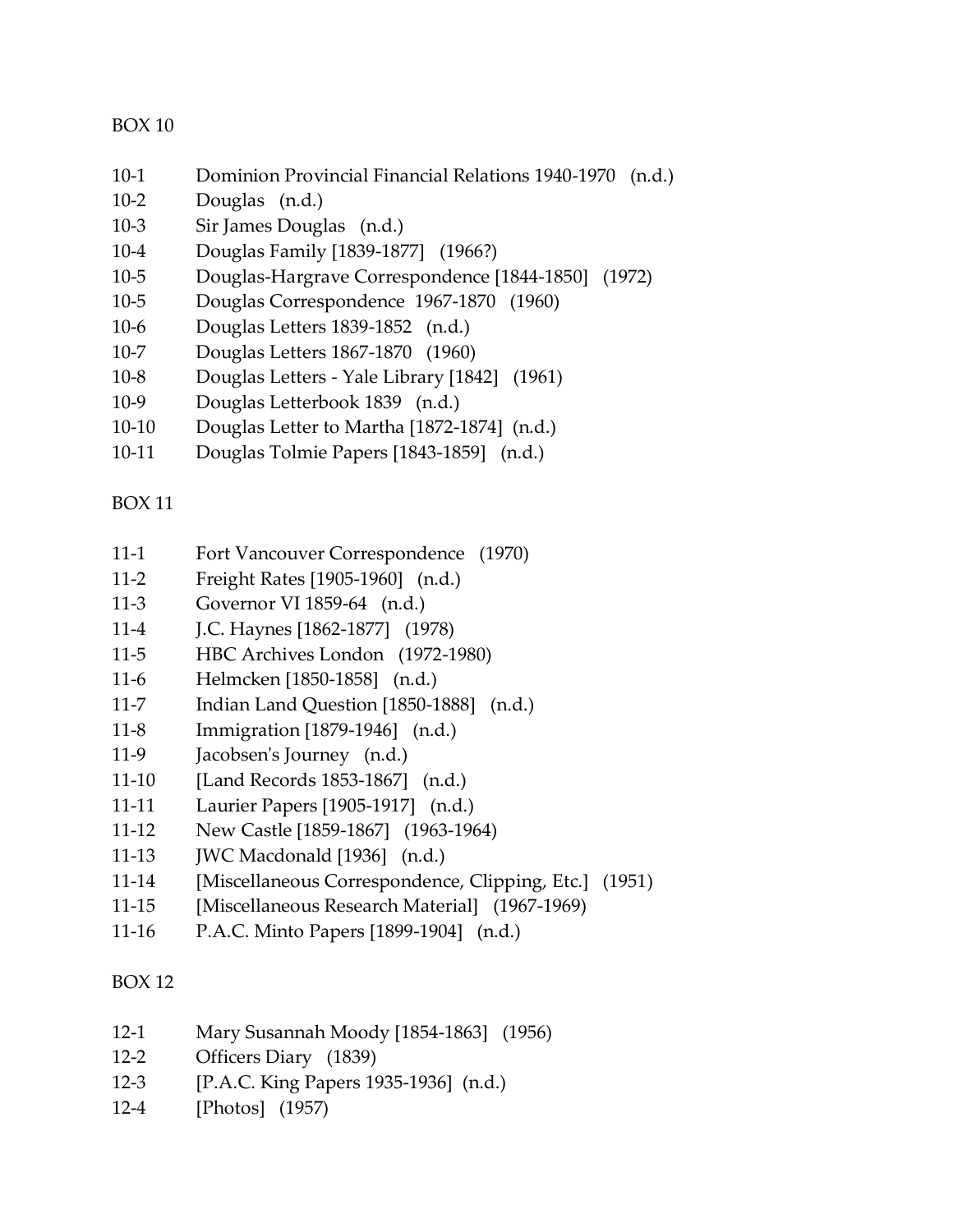- 10-1 Dominion Provincial Financial Relations 1940-1970 (n.d.)
- 10-2 Douglas (n.d.)
- 10-3 Sir James Douglas (n.d.)
- 10-4 Douglas Family [1839-1877] (1966?)
- 10-5 Douglas-Hargrave Correspondence [1844-1850] (1972)
- 10-5 Douglas Correspondence 1967-1870 (1960)
- 10-6 Douglas Letters 1839-1852 (n.d.)
- 10-7 Douglas Letters 1867-1870 (1960)
- 10-8 Douglas Letters Yale Library [1842] (1961)
- 10-9 Douglas Letterbook 1839 (n.d.)
- 10-10 Douglas Letter to Martha [1872-1874] (n.d.)
- 10-11 Douglas Tolmie Papers [1843-1859] (n.d.)

# BOX 11

- 11-1 Fort Vancouver Correspondence (1970)
- 11-2 Freight Rates [1905-1960] (n.d.)
- 11-3 Governor VI 1859-64 (n.d.)
- 11-4 J.C. Haynes [1862-1877] (1978)
- 11-5 HBC Archives London (1972-1980)
- 11-6 Helmcken [1850-1858] (n.d.)
- 11-7 Indian Land Question [1850-1888] (n.d.)
- 11-8 Immigration [1879-1946] (n.d.)
- 11-9 Jacobsen's Journey (n.d.)
- 11-10 [Land Records 1853-1867] (n.d.)
- 11-11 Laurier Papers [1905-1917] (n.d.)
- 11-12 New Castle [1859-1867] (1963-1964)
- 11-13 **JWC Macdonald [1936]** (n.d.)
- 11-14 [Miscellaneous Correspondence, Clipping, Etc.] (1951)
- 11-15 [Miscellaneous Research Material] (1967-1969)
- 11-16 P.A.C. Minto Papers [1899-1904] (n.d.)

### BOX 12

- 12-1 Mary Susannah Moody [1854-1863] (1956)
- 12-2 Officers Diary (1839)
- 12-3 [P.A.C. King Papers 1935-1936] (n.d.)
- 12-4 [Photos] (1957)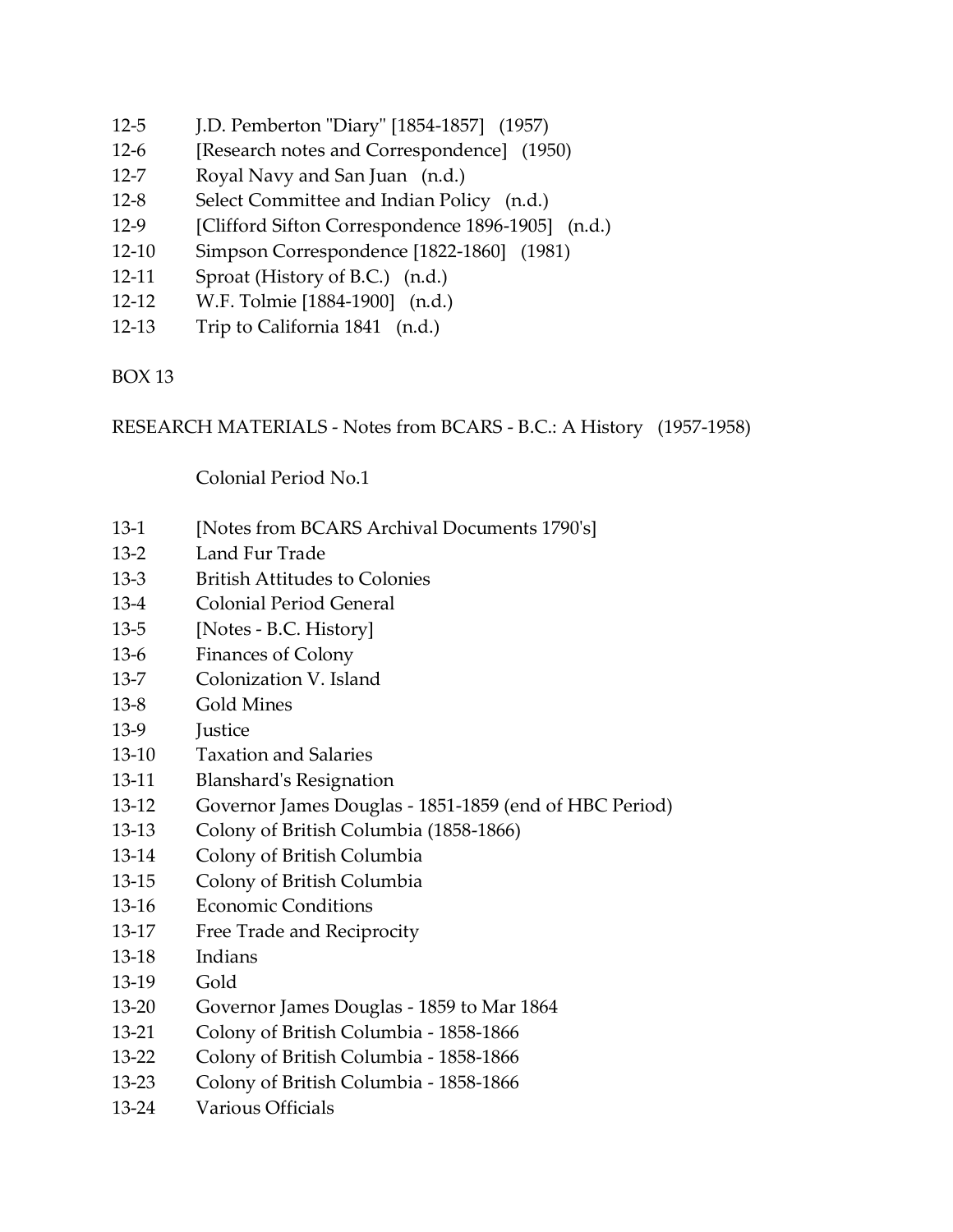- 12-5 J.D. Pemberton "Diary" [1854-1857] (1957)
- 12-6 [Research notes and Correspondence] (1950)
- 12-7 Royal Navy and San Juan (n.d.)
- 12-8 Select Committee and Indian Policy (n.d.)
- 12-9 [Clifford Sifton Correspondence 1896-1905] (n.d.)
- 12-10 Simpson Correspondence [1822-1860] (1981)
- 12-11 Sproat (History of B.C.) (n.d.)
- 12-12 W.F. Tolmie [1884-1900] (n.d.)
- 12-13 Trip to California 1841 (n.d.)

RESEARCH MATERIALS - Notes from BCARS - B.C.: A History (1957-1958)

Colonial Period No.1

- 13-1 [Notes from BCARS Archival Documents 1790's]
- 13-2 Land Fur Trade
- 13-3 British Attitudes to Colonies
- 13-4 Colonial Period General
- 13-5 [Notes B.C. History]
- 13-6 Finances of Colony
- 13-7 Colonization V. Island
- 13-8 Gold Mines
- 13-9 **Iustice**
- 13-10 Taxation and Salaries
- 13-11 Blanshard's Resignation
- 13-12 Governor James Douglas 1851-1859 (end of HBC Period)
- 13-13 Colony of British Columbia (1858-1866)
- 13-14 Colony of British Columbia
- 13-15 Colony of British Columbia
- 13-16 Economic Conditions
- 13-17 Free Trade and Reciprocity
- 13-18 Indians
- 13-19 Gold
- 13-20 Governor James Douglas 1859 to Mar 1864
- 13-21 Colony of British Columbia 1858-1866
- 13-22 Colony of British Columbia 1858-1866
- 13-23 Colony of British Columbia 1858-1866
- 13-24 Various Officials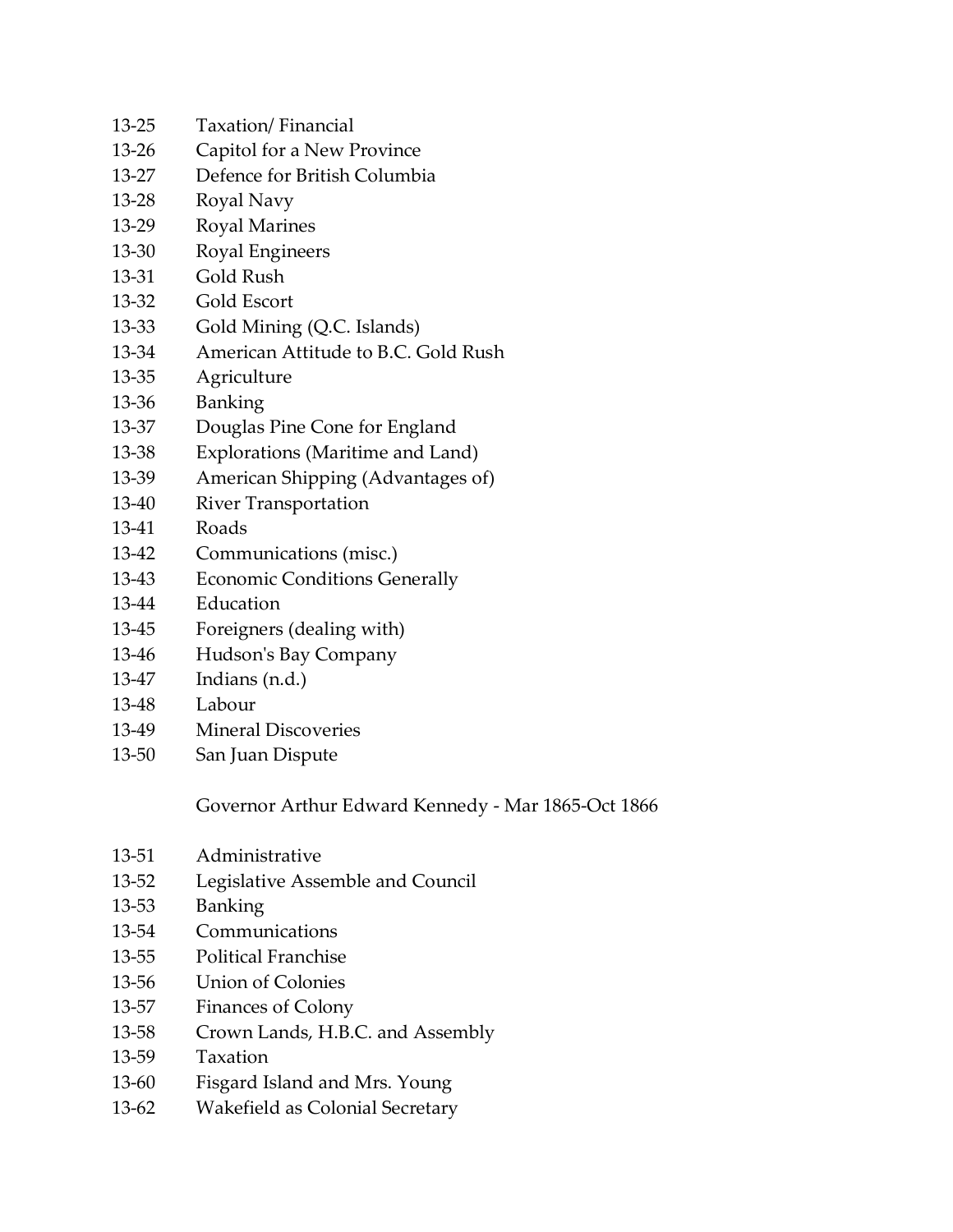- 13-25 Taxation/ Financial
- 13-26 Capitol for a New Province
- 13-27 Defence for British Columbia
- 13-28 Royal Navy
- 13-29 Royal Marines
- 13-30 Royal Engineers
- 13-31 Gold Rush
- 13-32 Gold Escort
- 13-33 Gold Mining (Q.C. Islands)
- 13-34 American Attitude to B.C. Gold Rush
- 13-35 Agriculture
- 13-36 Banking
- 13-37 Douglas Pine Cone for England
- 13-38 Explorations (Maritime and Land)
- 13-39 American Shipping (Advantages of)
- 13-40 River Transportation
- 13-41 Roads
- 13-42 Communications (misc.)
- 13-43 Economic Conditions Generally
- 13-44 Education
- 13-45 Foreigners (dealing with)
- 13-46 Hudson's Bay Company
- 13-47 Indians (n.d.)
- 13-48 Labour
- 13-49 Mineral Discoveries
- 13-50 San Juan Dispute

Governor Arthur Edward Kennedy - Mar 1865-Oct 1866

- 13-51 Administrative
- 13-52 Legislative Assemble and Council
- 13-53 Banking
- 13-54 Communications
- 13-55 Political Franchise
- 13-56 Union of Colonies
- 13-57 Finances of Colony
- 13-58 Crown Lands, H.B.C. and Assembly
- 13-59 Taxation
- 13-60 Fisgard Island and Mrs. Young
- 13-62 Wakefield as Colonial Secretary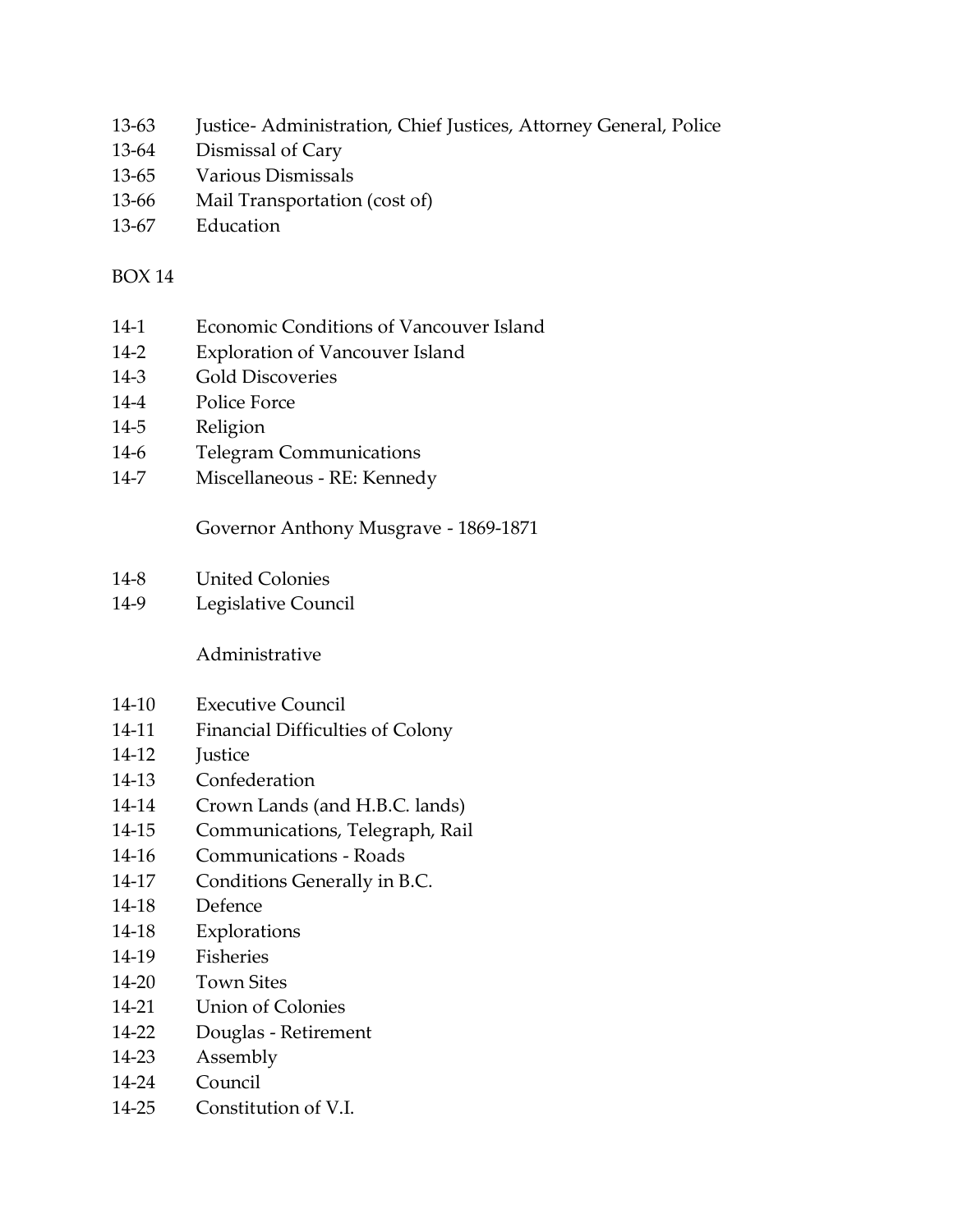- 13-63 Justice- Administration, Chief Justices, Attorney General, Police
- 13-64 Dismissal of Cary
- 13-65 Various Dismissals
- 13-66 Mail Transportation (cost of)
- 13-67 Education

- 14-1 Economic Conditions of Vancouver Island
- 14-2 Exploration of Vancouver Island
- 14-3 Gold Discoveries
- 14-4 Police Force
- 14-5 Religion
- 14-6 Telegram Communications
- 14-7 Miscellaneous RE: Kennedy

Governor Anthony Musgrave - 1869-1871

- 14-8 United Colonies
- 14-9 Legislative Council

Administrative

- 14-10 Executive Council
- 14-11 Financial Difficulties of Colony
- 14-12 **Iustice**
- 14-13 Confederation
- 14-14 Crown Lands (and H.B.C. lands)
- 14-15 Communications, Telegraph, Rail
- 14-16 Communications Roads
- 14-17 Conditions Generally in B.C.
- 14-18 Defence
- 14-18 Explorations
- 14-19 Fisheries
- 14-20 Town Sites
- 14-21 Union of Colonies
- 14-22 Douglas Retirement
- 14-23 Assembly
- 14-24 Council
- 14-25 Constitution of V.I.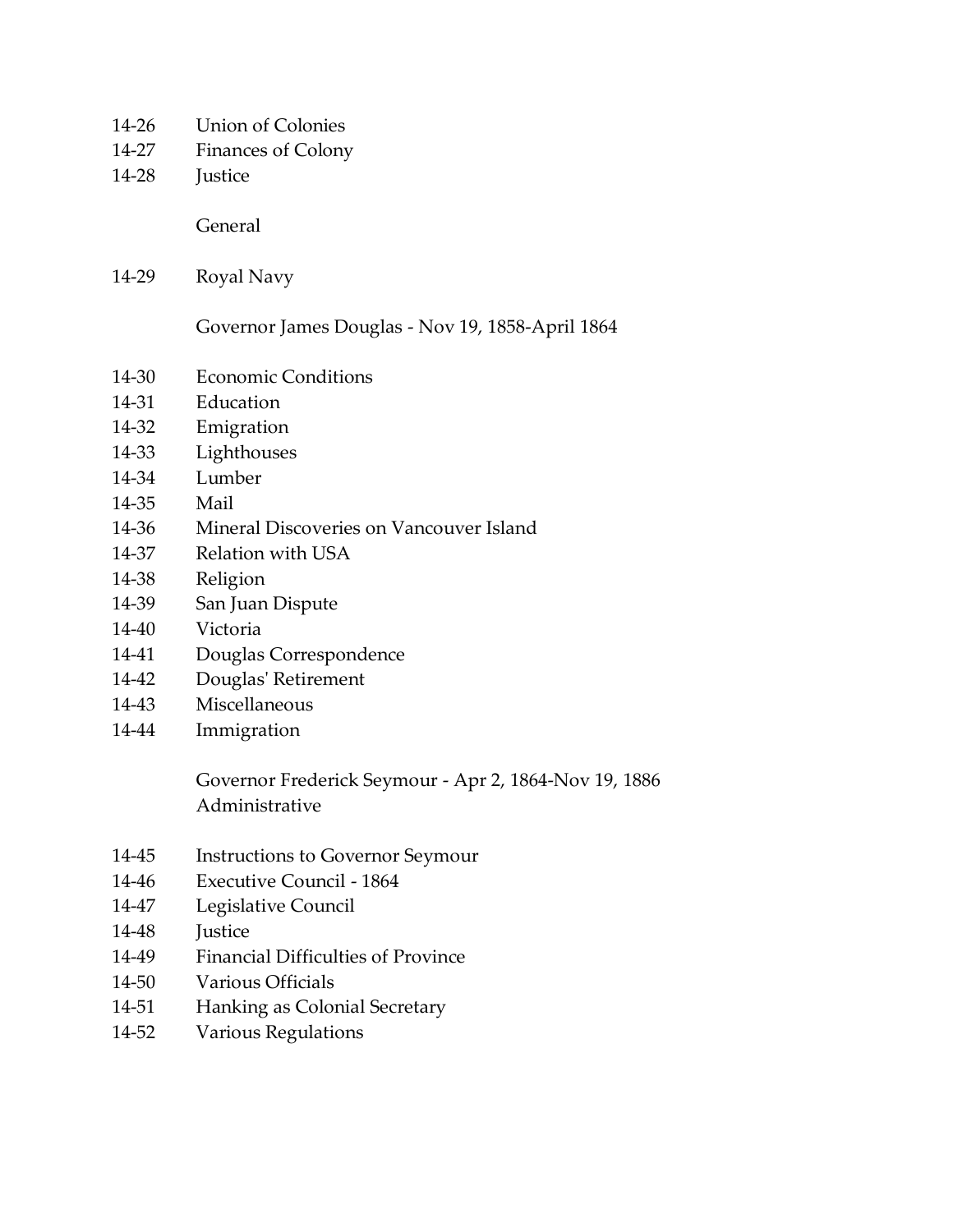- 14-26 Union of Colonies
- 14-27 Finances of Colony
- 14-28 Justice

General

14-29 Royal Navy

Governor James Douglas - Nov 19, 1858-April 1864

- 14-30 Economic Conditions
- 14-31 Education
- 14-32 Emigration
- 14-33 Lighthouses
- 14-34 Lumber
- 14-35 Mail
- 14-36 Mineral Discoveries on Vancouver Island
- 14-37 Relation with USA
- 14-38 Religion
- 14-39 San Juan Dispute
- 14-40 Victoria
- 14-41 Douglas Correspondence
- 14-42 Douglas' Retirement
- 14-43 Miscellaneous
- 14-44 Immigration

Governor Frederick Seymour - Apr 2, 1864-Nov 19, 1886 Administrative

- 14-45 Instructions to Governor Seymour
- 14-46 Executive Council 1864
- 14-47 Legislative Council
- 14-48 Justice
- 14-49 Financial Difficulties of Province
- 14-50 Various Officials
- 14-51 Hanking as Colonial Secretary
- 14-52 Various Regulations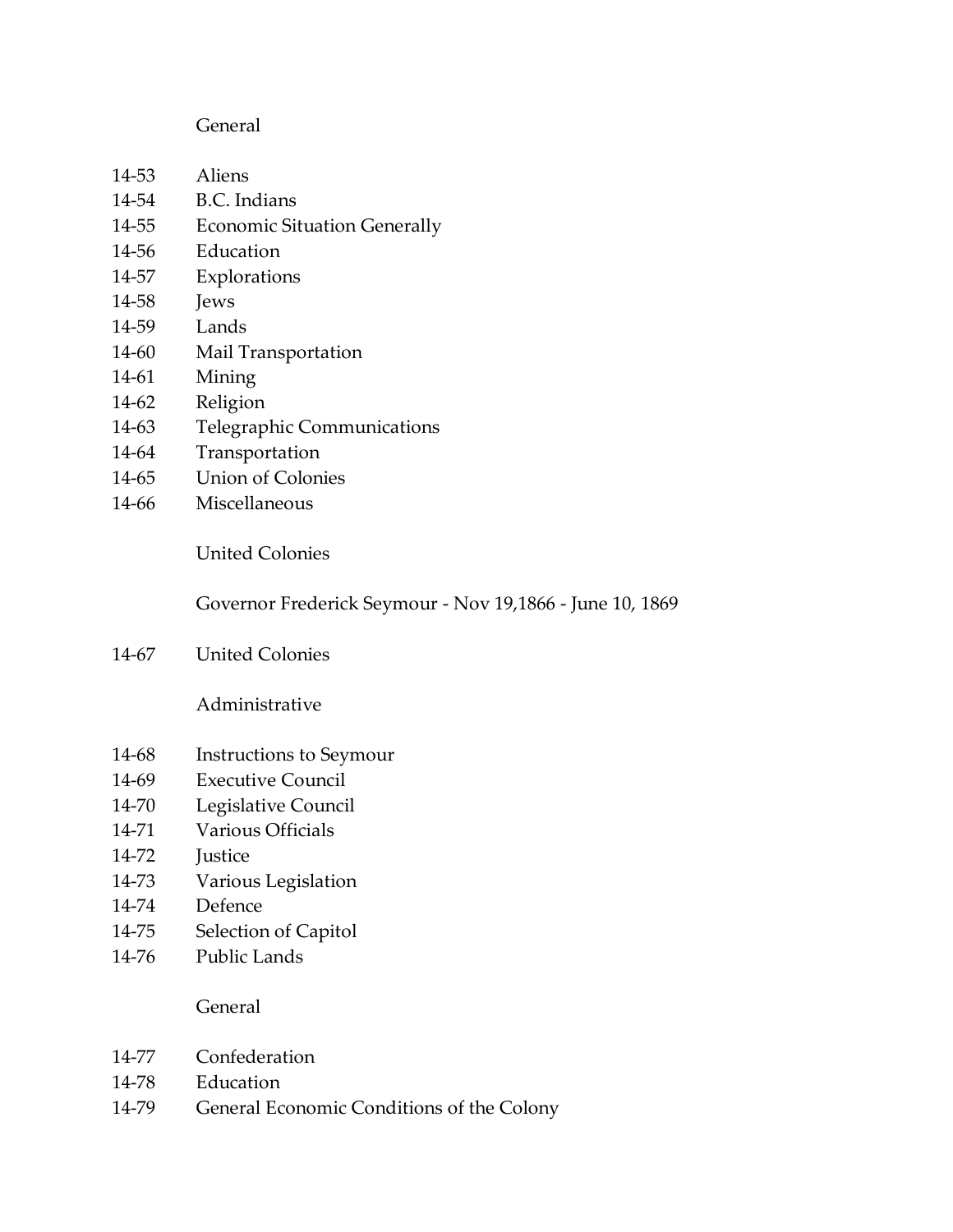#### General

- 14-53 Aliens
- 14-54 B.C. Indians
- 14-55 Economic Situation Generally
- 14-56 Education
- 14-57 Explorations
- 14-58 **Jews**
- 14-59 Lands
- 14-60 Mail Transportation
- 14-61 Mining
- 14-62 Religion
- 14-63 Telegraphic Communications
- 14-64 Transportation
- 14-65 Union of Colonies
- 14-66 Miscellaneous

United Colonies

Governor Frederick Seymour - Nov 19,1866 - June 10, 1869

14-67 United Colonies

Administrative

- 14-68 Instructions to Seymour
- 14-69 Executive Council
- 14-70 Legislative Council
- 14-71 Various Officials
- 14-72 Justice
- 14-73 Various Legislation
- 14-74 Defence
- 14-75 Selection of Capitol
- 14-76 Public Lands

General

- 14-77 Confederation
- 14-78 Education
- 14-79 General Economic Conditions of the Colony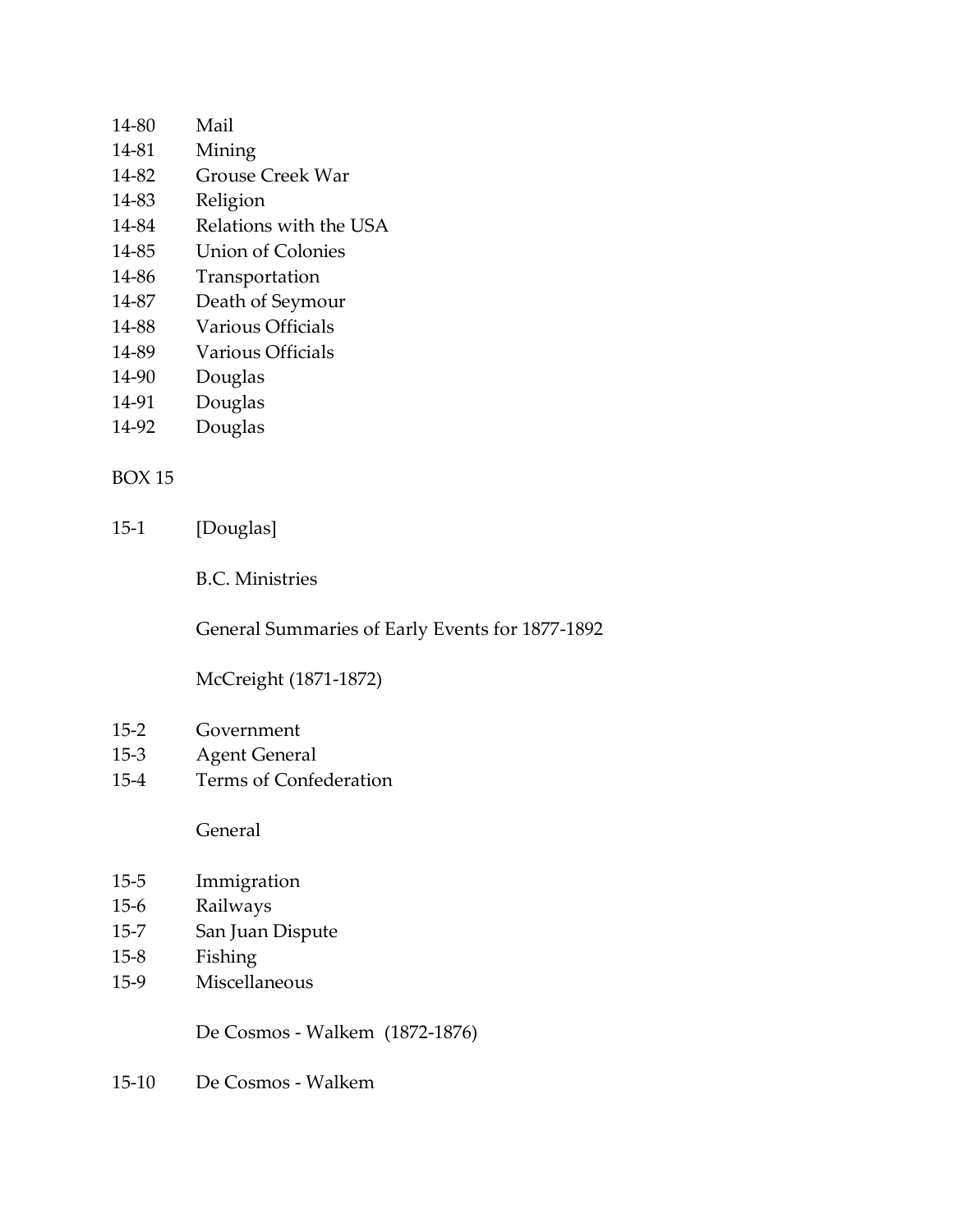| 14-80 | Mail                     |
|-------|--------------------------|
| 14-81 | Mining                   |
| 14-82 | <b>Grouse Creek War</b>  |
| 14-83 | Religion                 |
| 14-84 | Relations with the USA   |
| 14-85 | <b>Union of Colonies</b> |
| 14-86 | Transportation           |
| 14-87 | Death of Seymour         |
| 14-88 | Various Officials        |

- 14-89 Various Officials
- 14-90 Douglas
- 14-91 Douglas
- 14-92 Douglas

15-1 [Douglas]

B.C. Ministries

General Summaries of Early Events for 1877-1892

# McCreight (1871-1872)

- 15-2 Government
- 15-3 Agent General
- 15-4 Terms of Confederation

General

- 15-5 Immigration
- 15-6 Railways
- 15-7 San Juan Dispute
- 15-8 Fishing
- 15-9 Miscellaneous

De Cosmos - Walkem (1872-1876)

15-10 De Cosmos - Walkem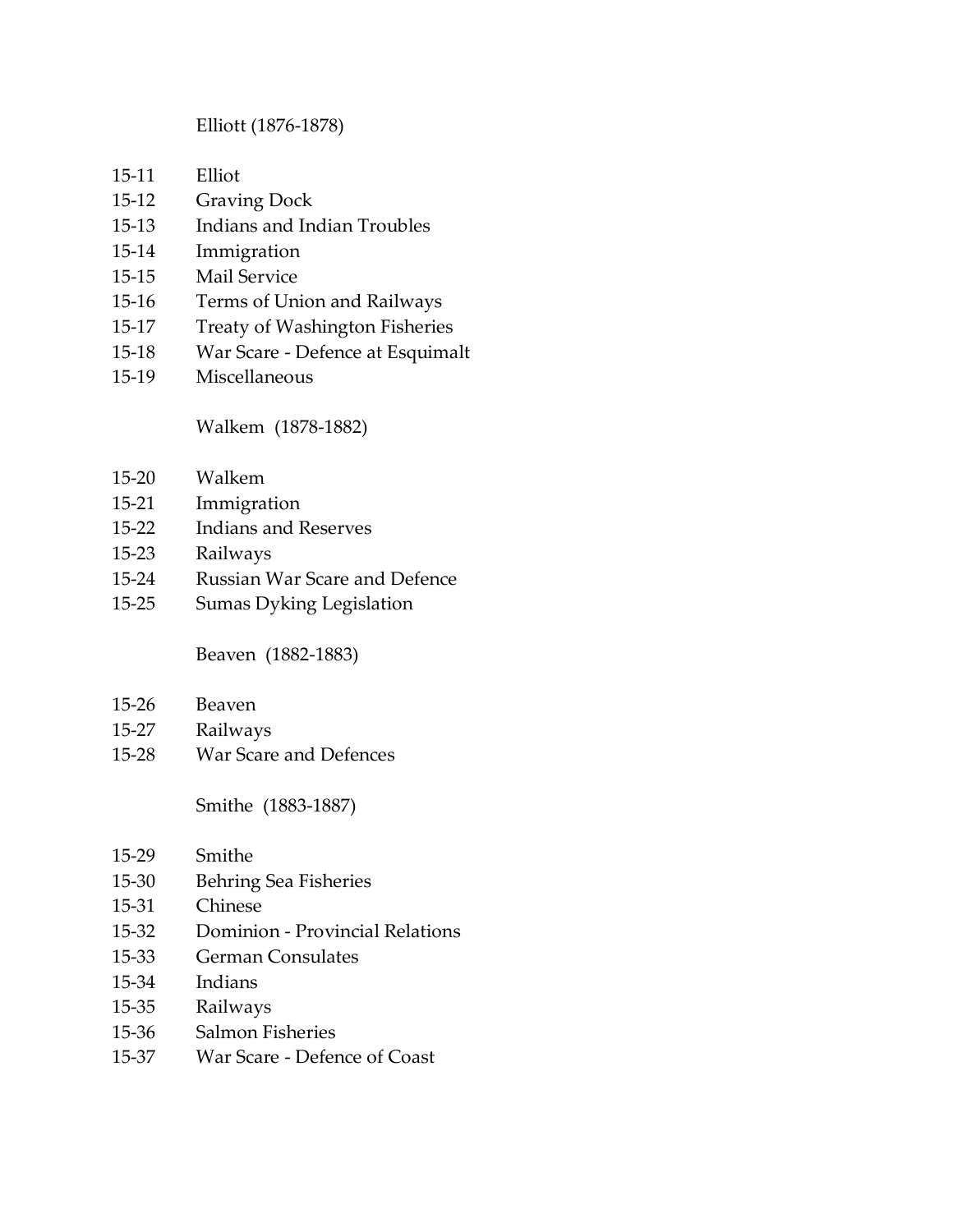#### Elliott (1876-1878)

- 15-11 Elliot
- 15-12 Graving Dock
- 15-13 Indians and Indian Troubles
- 15-14 Immigration
- 15-15 Mail Service
- 15-16 Terms of Union and Railways
- 15-17 Treaty of Washington Fisheries
- 15-18 War Scare Defence at Esquimalt
- 15-19 Miscellaneous

Walkem (1878-1882)

- 15-20 Walkem
- 15-21 Immigration
- 15-22 Indians and Reserves
- 15-23 Railways
- 15-24 Russian War Scare and Defence
- 15-25 Sumas Dyking Legislation

Beaven (1882-1883)

- 15-26 Beaven
- 15-27 Railways
- 15-28 War Scare and Defences

Smithe (1883-1887)

- 15-29 Smithe
- 15-30 Behring Sea Fisheries
- 15-31 Chinese
- 15-32 Dominion Provincial Relations
- 15-33 German Consulates
- 15-34 Indians
- 15-35 Railways
- 15-36 Salmon Fisheries
- 15-37 War Scare Defence of Coast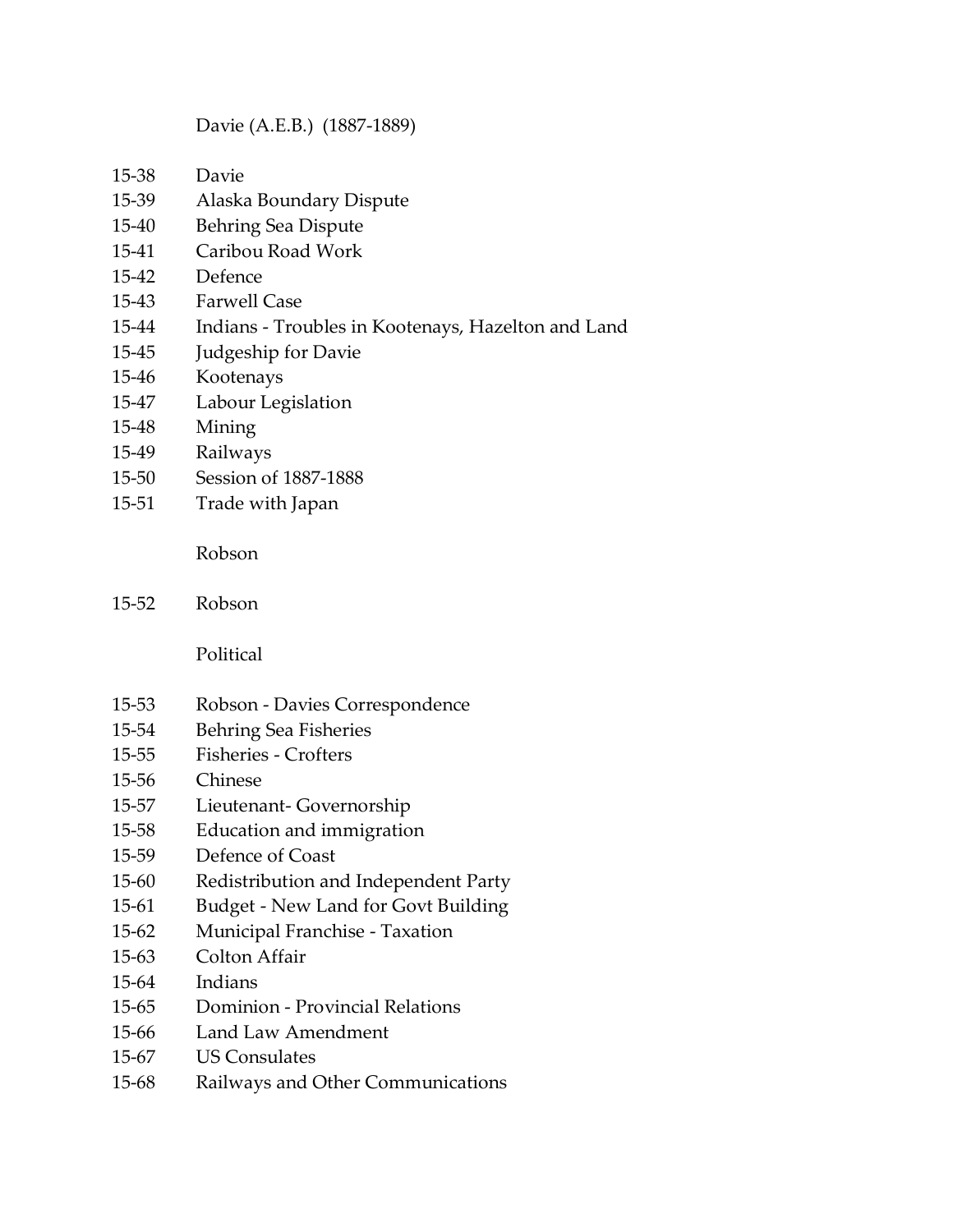#### Davie (A.E.B.) (1887-1889)

- 15-38 Davie
- 15-39 Alaska Boundary Dispute
- 15-40 Behring Sea Dispute
- 15-41 Caribou Road Work
- 15-42 Defence
- 15-43 Farwell Case
- 15-44 Indians Troubles in Kootenays, Hazelton and Land
- 15-45 Judgeship for Davie
- 15-46 Kootenays
- 15-47 Labour Legislation
- 15-48 Mining
- 15-49 Railways
- 15-50 Session of 1887-1888
- 15-51 Trade with Japan

Robson

15-52 Robson

Political

- 15-53 Robson Davies Correspondence
- 15-54 Behring Sea Fisheries
- 15-55 Fisheries Crofters
- 15-56 Chinese
- 15-57 Lieutenant- Governorship
- 15-58 Education and immigration
- 15-59 Defence of Coast
- 15-60 Redistribution and Independent Party
- 15-61 Budget New Land for Govt Building
- 15-62 Municipal Franchise Taxation
- 15-63 Colton Affair
- 15-64 Indians
- 15-65 Dominion Provincial Relations
- 15-66 Land Law Amendment
- 15-67 US Consulates
- 15-68 Railways and Other Communications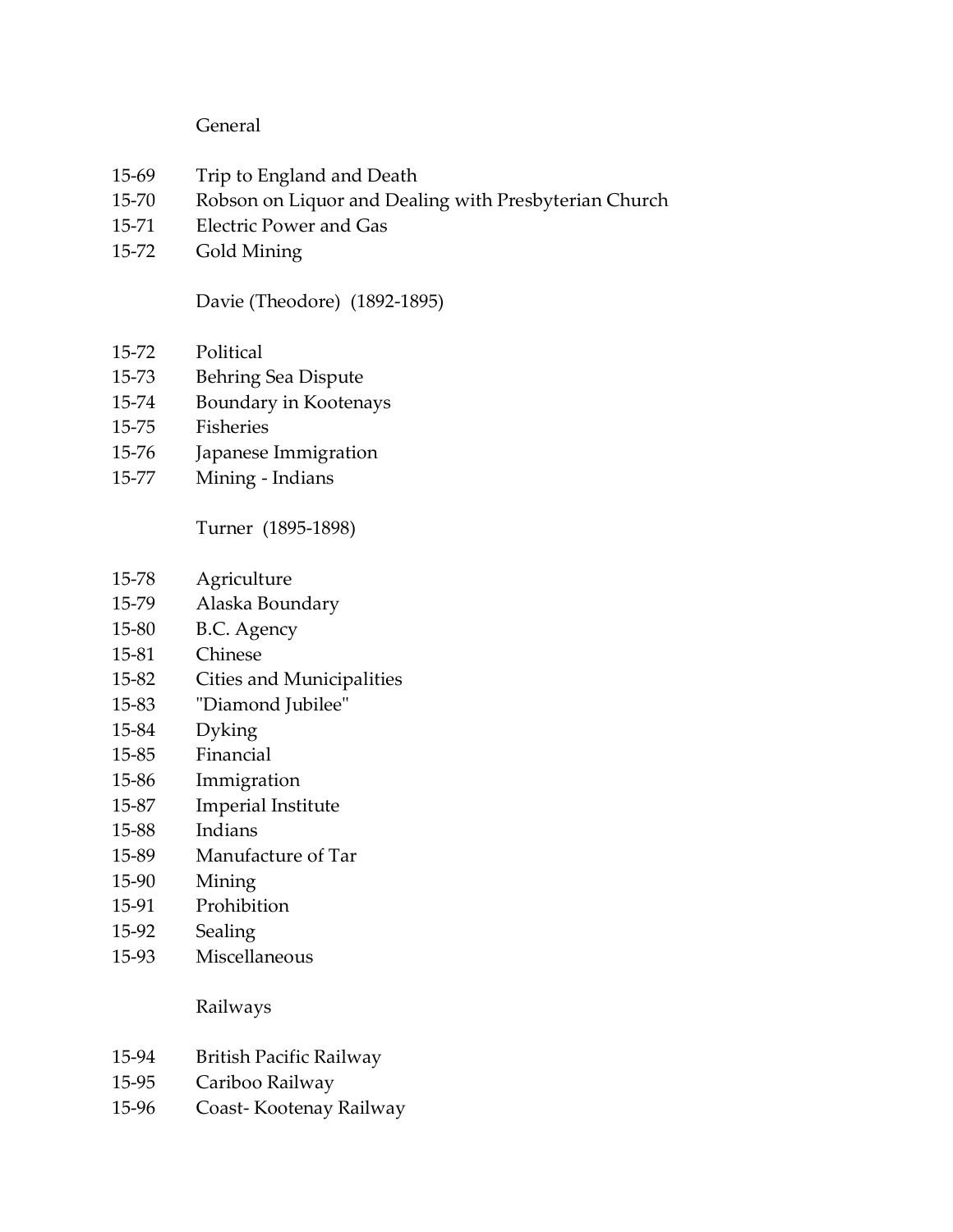### General

- 15-69 Trip to England and Death
- 15-70 Robson on Liquor and Dealing with Presbyterian Church
- 15-71 Electric Power and Gas
- 15-72 Gold Mining

Davie (Theodore) (1892-1895)

- 15-72 Political
- 15-73 Behring Sea Dispute
- 15-74 Boundary in Kootenays
- 15-75 Fisheries
- 15-76 Japanese Immigration
- 15-77 Mining Indians

Turner (1895-1898)

- 15-78 Agriculture
- 15-79 Alaska Boundary
- 15-80 B.C. Agency
- 15-81 Chinese
- 15-82 Cities and Municipalities
- 15-83 "Diamond Jubilee"
- 15-84 Dyking
- 15-85 Financial
- 15-86 Immigration
- 15-87 Imperial Institute
- 15-88 Indians
- 15-89 Manufacture of Tar
- 15-90 Mining
- 15-91 Prohibition
- 15-92 Sealing
- 15-93 Miscellaneous

Railways

- 15-94 British Pacific Railway
- 15-95 Cariboo Railway
- 15-96 Coast- Kootenay Railway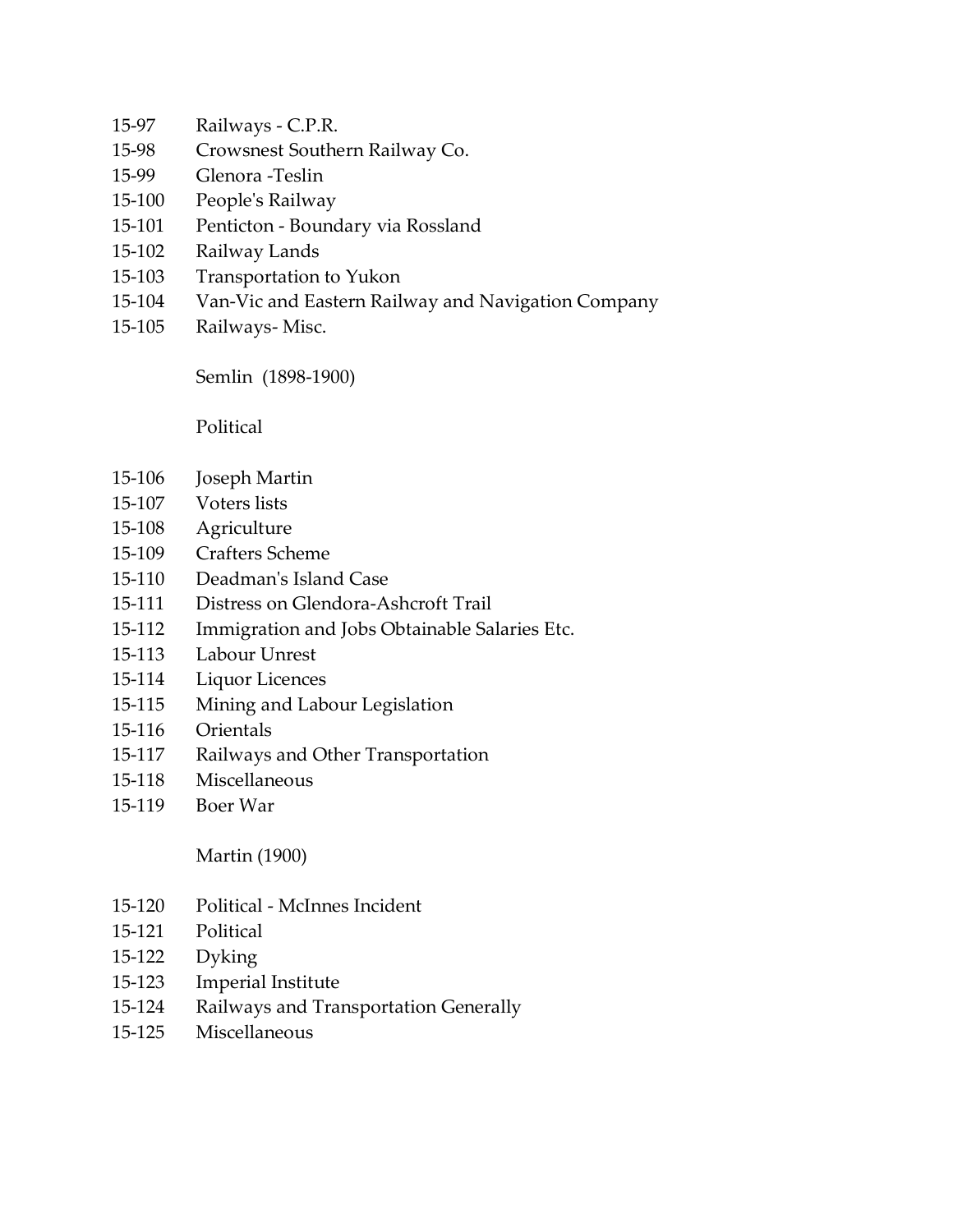- 15-97 Railways C.P.R.
- 15-98 Crowsnest Southern Railway Co.
- 15-99 Glenora -Teslin
- 15-100 People's Railway
- 15-101 Penticton Boundary via Rossland
- 15-102 Railway Lands
- 15-103 Transportation to Yukon
- 15-104 Van-Vic and Eastern Railway and Navigation Company
- 15-105 Railways- Misc.

Semlin (1898-1900)

Political

- 15-106 Joseph Martin
- 15-107 Voters lists
- 15-108 Agriculture
- 15-109 Crafters Scheme
- 15-110 Deadman's Island Case
- 15-111 Distress on Glendora-Ashcroft Trail
- 15-112 Immigration and Jobs Obtainable Salaries Etc.
- 15-113 Labour Unrest
- 15-114 Liquor Licences
- 15-115 Mining and Labour Legislation
- 15-116 Orientals
- 15-117 Railways and Other Transportation
- 15-118 Miscellaneous
- 15-119 Boer War

Martin (1900)

- 15-120 Political McInnes Incident
- 15-121 Political
- 15-122 Dyking
- 15-123 Imperial Institute
- 15-124 Railways and Transportation Generally
- 15-125 Miscellaneous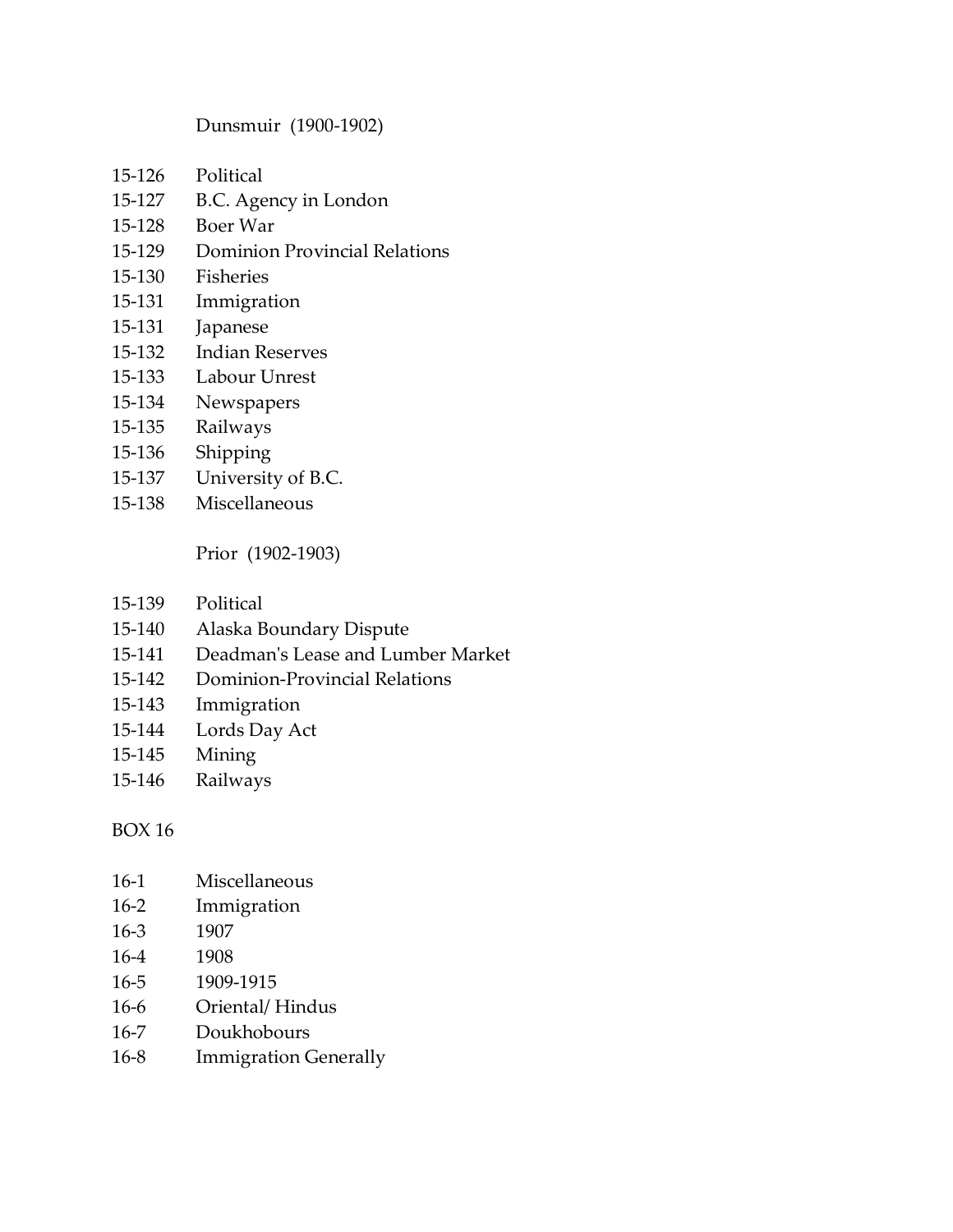#### Dunsmuir (1900-1902)

- 15-126 Political
- 15-127 B.C. Agency in London
- 15-128 Boer War
- 15-129 Dominion Provincial Relations
- 15-130 Fisheries
- 15-131 Immigration
- 15-131 Japanese
- 15-132 Indian Reserves
- 15-133 Labour Unrest
- 15-134 Newspapers
- 15-135 Railways
- 15-136 Shipping
- 15-137 University of B.C.
- 15-138 Miscellaneous

Prior (1902-1903)

- 15-139 Political
- 15-140 Alaska Boundary Dispute
- 15-141 Deadman's Lease and Lumber Market
- 15-142 Dominion-Provincial Relations
- 15-143 Immigration
- 15-144 Lords Day Act
- 15-145 Mining
- 15-146 Railways

#### BOX 16

- 16-1 Miscellaneous
- 16-2 Immigration
- 16-3 1907
- 16-4 1908
- 16-5 1909-1915
- 16-6 Oriental/ Hindus
- 16-7 Doukhobours
- 16-8 Immigration Generally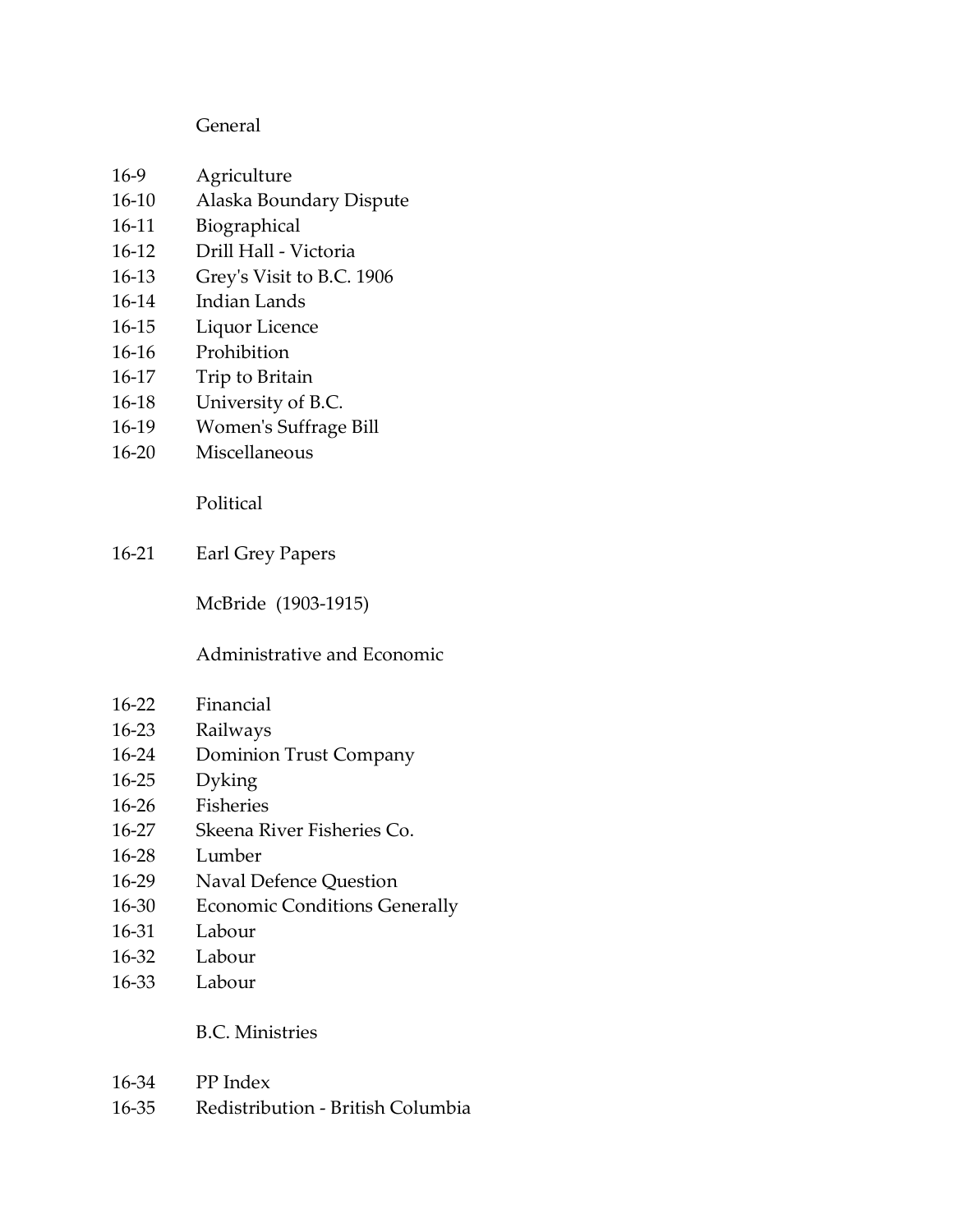#### General

- 16-9 Agriculture
- 16-10 Alaska Boundary Dispute
- 16-11 Biographical
- 16-12 Drill Hall Victoria
- 16-13 Grey's Visit to B.C. 1906
- 16-14 Indian Lands
- 16-15 Liquor Licence
- 16-16 Prohibition
- 16-17 Trip to Britain
- 16-18 University of B.C.
- 16-19 Women's Suffrage Bill
- 16-20 Miscellaneous

Political

16-21 Earl Grey Papers

McBride (1903-1915)

### Administrative and Economic

- 16-22 Financial
- 16-23 Railways
- 16-24 Dominion Trust Company
- 16-25 Dyking
- 16-26 Fisheries
- 16-27 Skeena River Fisheries Co.
- 16-28 Lumber
- 16-29 Naval Defence Question
- 16-30 Economic Conditions Generally
- 16-31 Labour
- 16-32 Labour
- 16-33 Labour

#### B.C. Ministries

- 16-34 PP Index
- 16-35 Redistribution British Columbia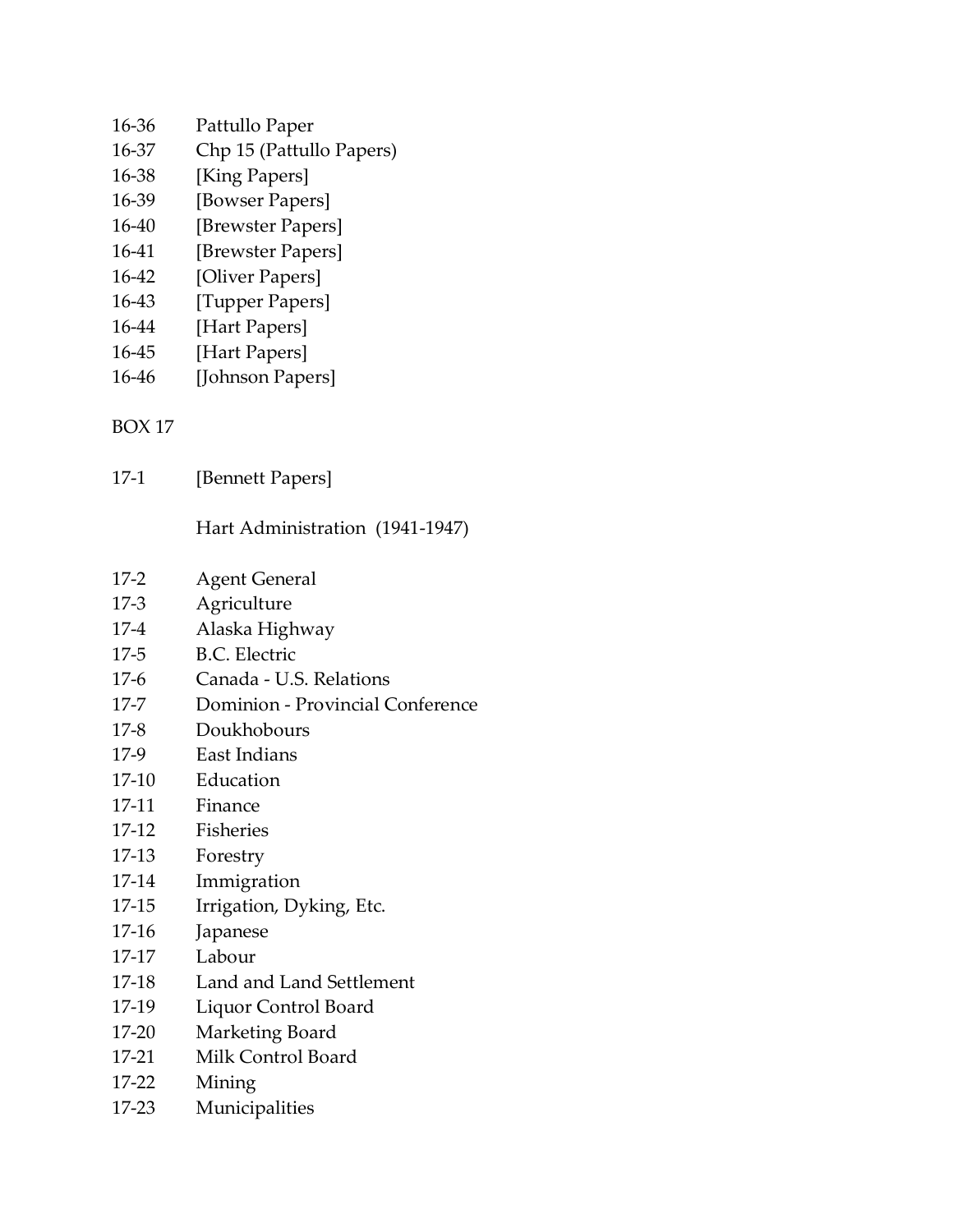- 16-36 Pattullo Paper
- 16-37 Chp 15 (Pattullo Papers)
- 16-38 [King Papers]
- 16-39 [Bowser Papers]
- 16-40 [Brewster Papers]
- 16-41 [Brewster Papers]
- 16-42 [Oliver Papers]
- 16-43 [Tupper Papers]
- 16-44 [Hart Papers]
- 16-45 [Hart Papers]
- 16-46 [Johnson Papers]

17-1 [Bennett Papers]

Hart Administration (1941-1947)

- 17-2 Agent General
- 17-3 Agriculture
- 17-4 Alaska Highway
- 17-5 B.C. Electric
- 17-6 Canada U.S. Relations
- 17-7 Dominion Provincial Conference
- 17-8 Doukhobours
- 17-9 East Indians
- 17-10 Education
- 17-11 Finance
- 17-12 Fisheries
- 17-13 Forestry
- 17-14 Immigration
- 17-15 Irrigation, Dyking, Etc.
- 17-16 Japanese
- 17-17 Labour
- 17-18 Land and Land Settlement
- 17-19 Liquor Control Board
- 17-20 Marketing Board
- 17-21 Milk Control Board
- 17-22 Mining
- 17-23 Municipalities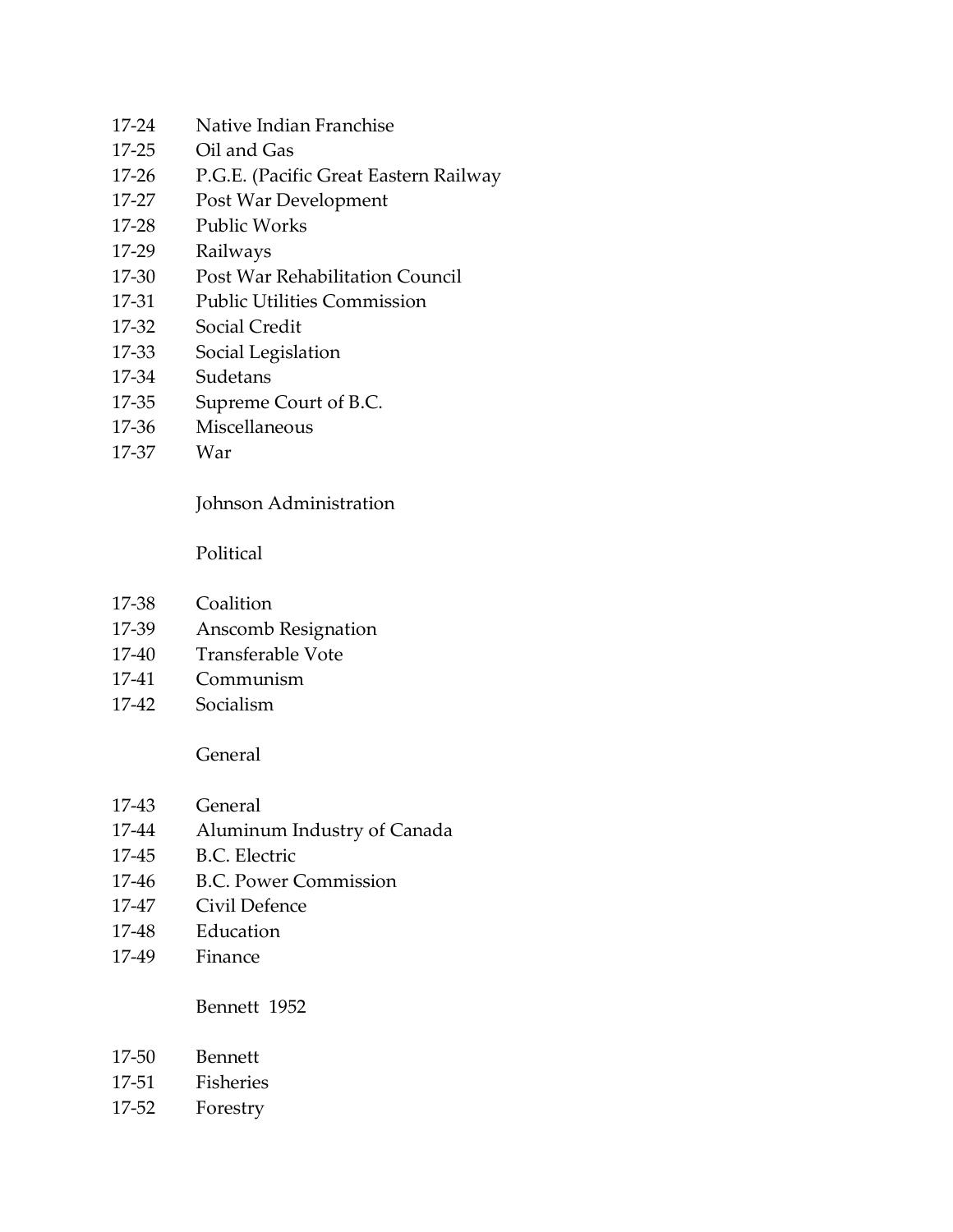- 17-24 Native Indian Franchise
- 17-25 Oil and Gas
- 17-26 P.G.E. (Pacific Great Eastern Railway
- 17-27 Post War Development
- 17-28 Public Works
- 17-29 Railways
- 17-30 Post War Rehabilitation Council
- 17-31 Public Utilities Commission
- 17-32 Social Credit
- 17-33 Social Legislation
- 17-34 Sudetans
- 17-35 Supreme Court of B.C.
- 17-36 Miscellaneous
- 17-37 War

# Johnson Administration

Political

- 17-38 Coalition
- 17-39 Anscomb Resignation
- 17-40 Transferable Vote
- 17-41 Communism
- 17-42 Socialism

#### General

- 17-43 General
- 17-44 Aluminum Industry of Canada
- 17-45 B.C. Electric
- 17-46 B.C. Power Commission
- 17-47 Civil Defence
- 17-48 Education
- 17-49 Finance

#### Bennett 1952

- 17-50 Bennett
- 17-51 Fisheries
- 17-52 Forestry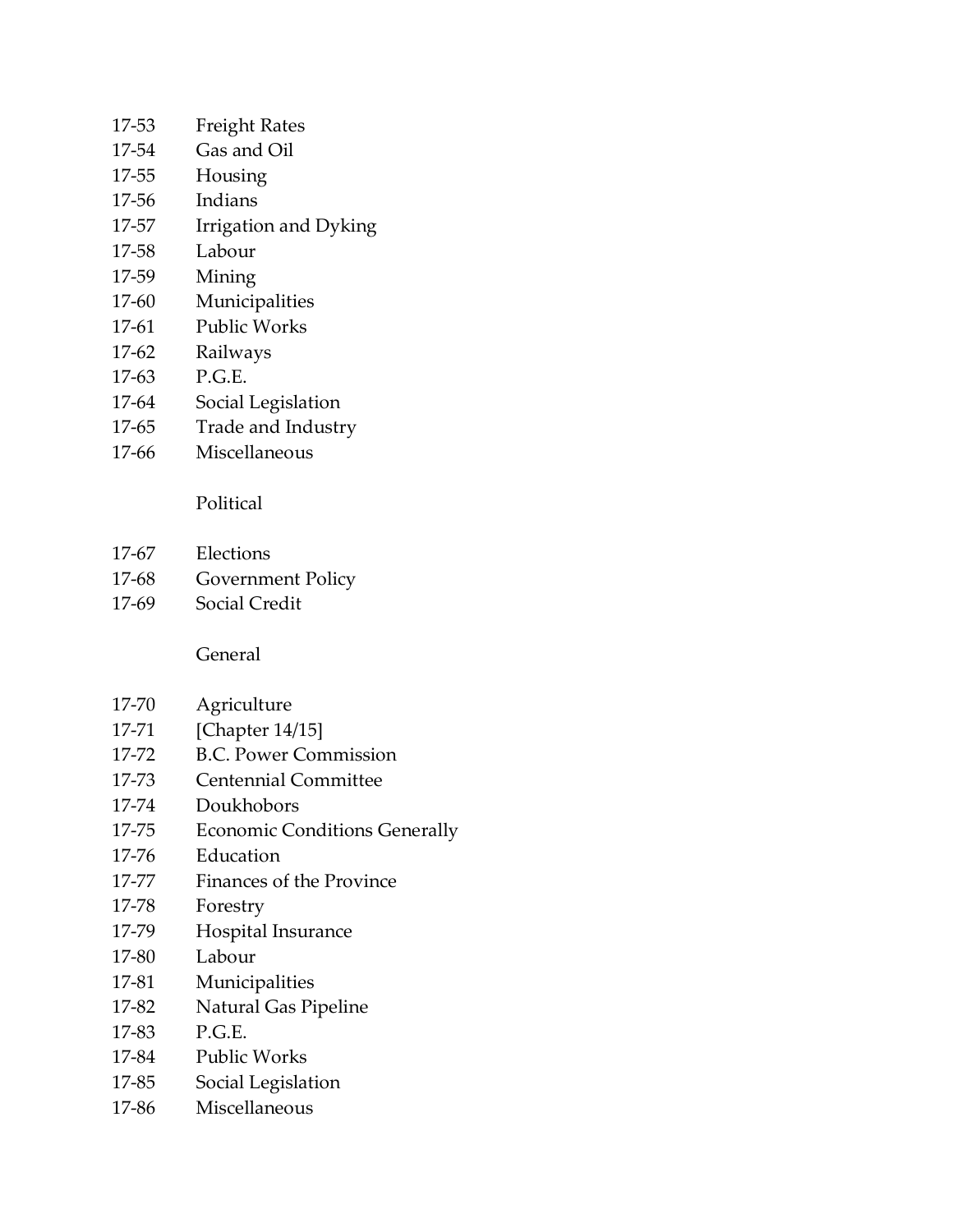- 17-53 Freight Rates
- 17-54 Gas and Oil
- 17-55 Housing
- 17-56 Indians
- 17-57 Irrigation and Dyking
- 17-58 Labour
- 17-59 Mining
- 17-60 Municipalities
- 17-61 Public Works
- 17-62 Railways
- 17-63 P.G.E.
- 17-64 Social Legislation
- 17-65 Trade and Industry
- 17-66 Miscellaneous

### Political

- 17-67 Elections
- 17-68 Government Policy
- 17-69 Social Credit

### General

- 17-70 Agriculture
- 17-71 [Chapter 14/15]
- 17-72 B.C. Power Commission
- 17-73 Centennial Committee
- 17-74 Doukhobors
- 17-75 Economic Conditions Generally
- 17-76 Education
- 17-77 Finances of the Province
- 17-78 Forestry
- 17-79 Hospital Insurance
- 17-80 Labour
- 17-81 Municipalities
- 17-82 Natural Gas Pipeline
- 17-83 P.G.E.
- 17-84 Public Works
- 17-85 Social Legislation
- 17-86 Miscellaneous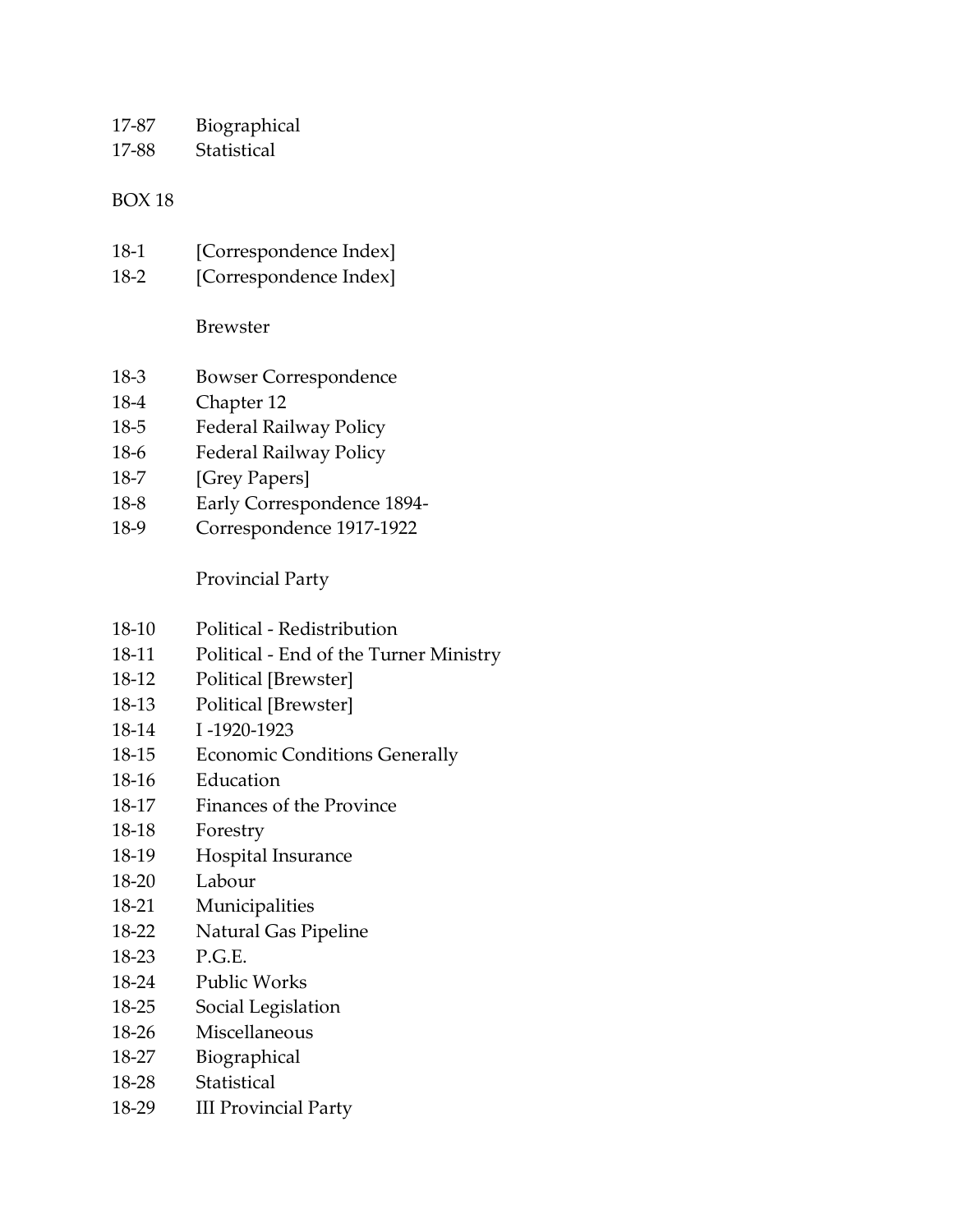17-87 Biographical

17-88 Statistical

#### BOX 18

- 18-1 [Correspondence Index]
- 18-2 [Correspondence Index]

Brewster

- 18-3 Bowser Correspondence
- 18-4 Chapter 12
- 18-5 Federal Railway Policy
- 18-6 Federal Railway Policy
- 18-7 [Grey Papers]
- 18-8 Early Correspondence 1894-
- 18-9 Correspondence 1917-1922

Provincial Party

- 18-10 Political Redistribution
- 18-11 Political End of the Turner Ministry
- 18-12 Political [Brewster]
- 18-13 Political [Brewster]
- 18-14 I -1920-1923
- 18-15 Economic Conditions Generally
- 18-16 Education
- 18-17 Finances of the Province
- 18-18 Forestry
- 18-19 Hospital Insurance
- 18-20 Labour
- 18-21 Municipalities
- 18-22 Natural Gas Pipeline
- 18-23 P.G.E.
- 18-24 Public Works
- 18-25 Social Legislation
- 18-26 Miscellaneous
- 18-27 Biographical
- 18-28 Statistical
- 18-29 III Provincial Party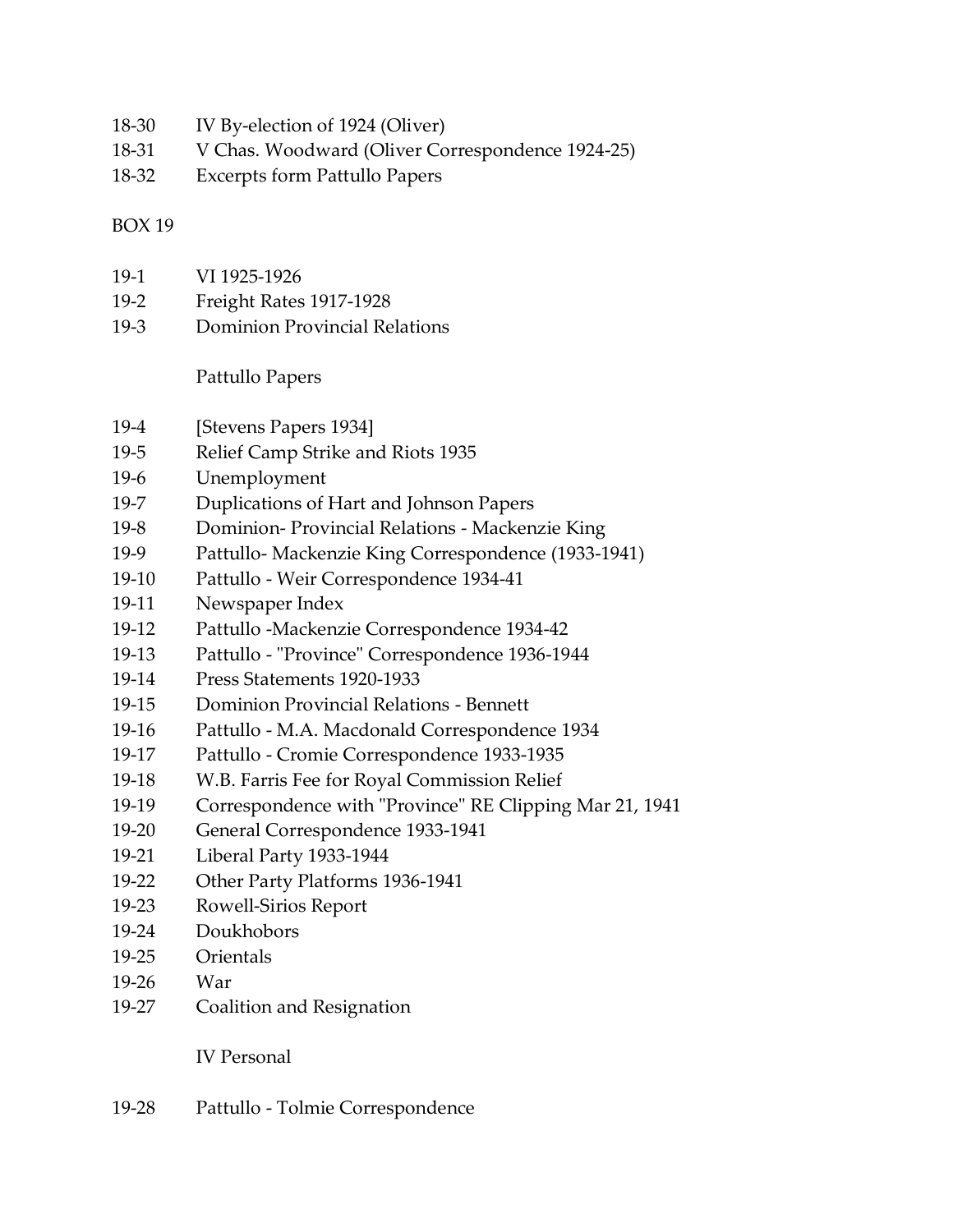- 18-30 IV By-election of 1924 (Oliver)
- 18-31 V Chas. Woodward (Oliver Correspondence 1924-25)
- 18-32 Excerpts form Pattullo Papers

- 19-1 VI 1925-1926
- 19-2 Freight Rates 1917-1928
- 19-3 Dominion Provincial Relations

Pattullo Papers

- 19-4 [Stevens Papers 1934]
- 19-5 Relief Camp Strike and Riots 1935
- 19-6 Unemployment
- 19-7 Duplications of Hart and Johnson Papers
- 19-8 Dominion- Provincial Relations Mackenzie King
- 19-9 Pattullo- Mackenzie King Correspondence (1933-1941)
- 19-10 Pattullo Weir Correspondence 1934-41
- 19-11 Newspaper Index
- 19-12 Pattullo -Mackenzie Correspondence 1934-42
- 19-13 Pattullo "Province" Correspondence 1936-1944
- 19-14 Press Statements 1920-1933
- 19-15 Dominion Provincial Relations Bennett
- 19-16 Pattullo M.A. Macdonald Correspondence 1934
- 19-17 Pattullo Cromie Correspondence 1933-1935
- 19-18 W.B. Farris Fee for Royal Commission Relief
- 19-19 Correspondence with "Province" RE Clipping Mar 21, 1941
- 19-20 General Correspondence 1933-1941
- 19-21 Liberal Party 1933-1944
- 19-22 Other Party Platforms 1936-1941
- 19-23 Rowell-Sirios Report
- 19-24 Doukhobors
- 19-25 Orientals
- 19-26 War
- 19-27 Coalition and Resignation

IV Personal

19-28 Pattullo - Tolmie Correspondence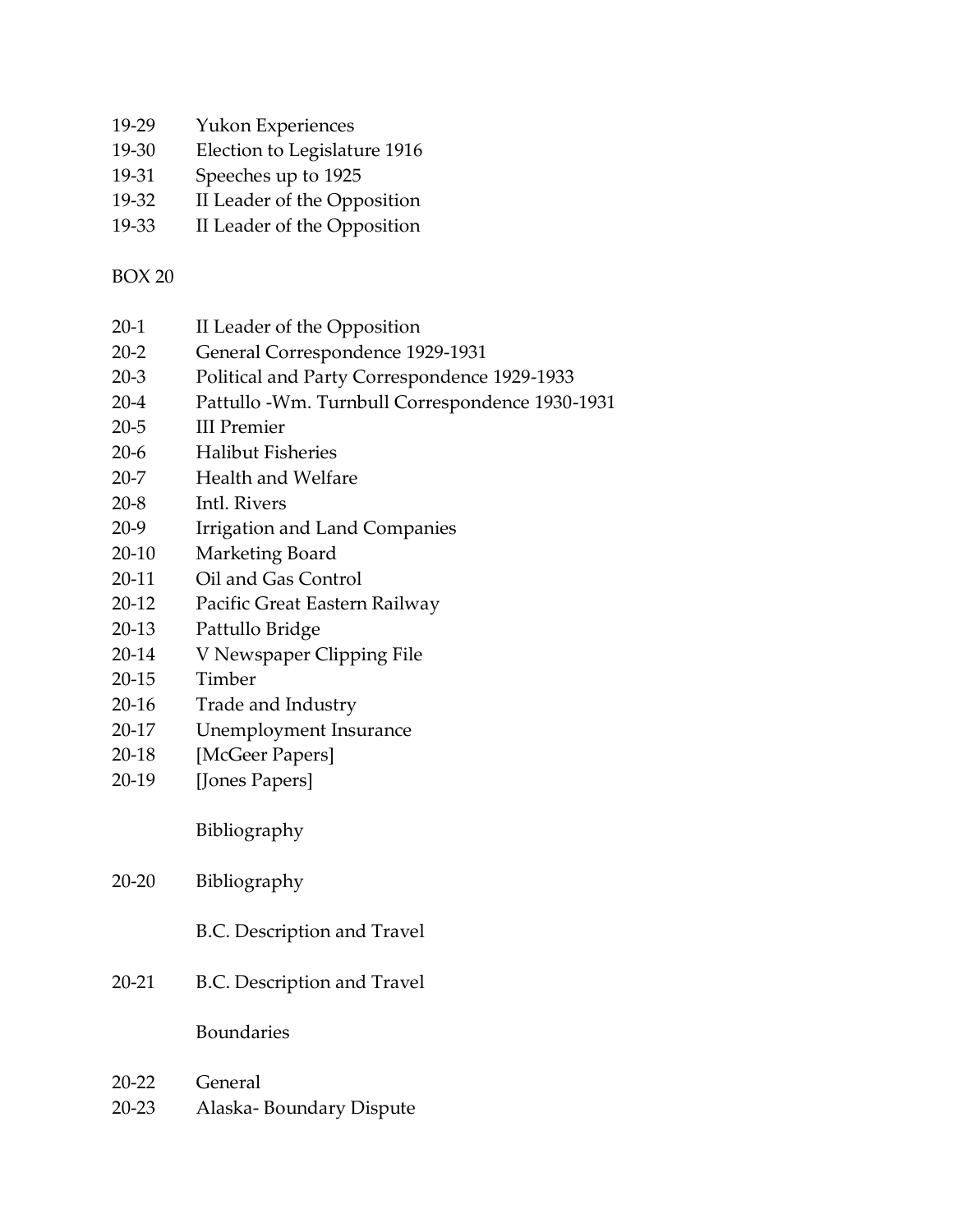- 19-29 Yukon Experiences
- 19-30 Election to Legislature 1916
- 19-31 Speeches up to 1925
- 19-32 II Leader of the Opposition
- 19-33 II Leader of the Opposition

- 20-1 II Leader of the Opposition
- 20-2 General Correspondence 1929-1931
- 20-3 Political and Party Correspondence 1929-1933
- 20-4 Pattullo -Wm. Turnbull Correspondence 1930-1931
- 20-5 III Premier
- 20-6 Halibut Fisheries
- 20-7 Health and Welfare
- 20-8 Intl. Rivers
- 20-9 Irrigation and Land Companies
- 20-10 Marketing Board
- 20-11 Oil and Gas Control
- 20-12 Pacific Great Eastern Railway
- 20-13 Pattullo Bridge
- 20-14 V Newspaper Clipping File
- 20-15 Timber
- 20-16 Trade and Industry
- 20-17 Unemployment Insurance
- 20-18 [McGeer Papers]
- 20-19 [Jones Papers]

Bibliography

- 20-20 Bibliography
	- B.C. Description and Travel
- 20-21 B.C. Description and Travel

Boundaries

- 20-22 General
- 20-23 Alaska- Boundary Dispute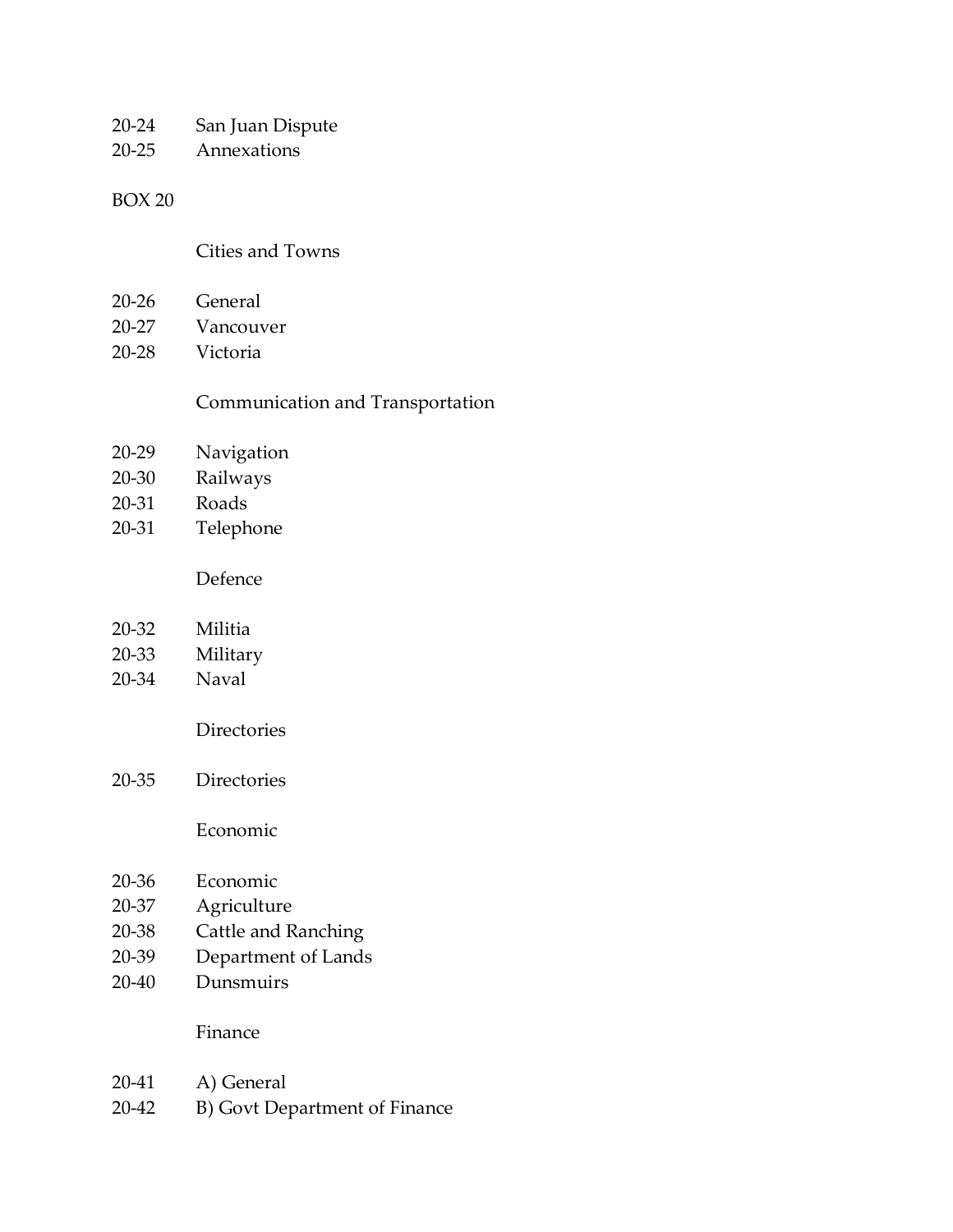- 20-24 San Juan Dispute
- 20-25 Annexations

#### Cities and Towns

- 20-26 General
- 20-27 Vancouver
- 20-28 Victoria

#### Communication and Transportation

- 20-29 Navigation
- 20-30 Railways
- 20-31 Roads
- 20-31 Telephone

#### Defence

- 20-33 Military
- 20-34 Naval
	- Directories
- 20-35 Directories

#### Economic

- 20-36 Economic
- 20-37 Agriculture
- 20-38 Cattle and Ranching
- 20-39 Department of Lands
- 20-40 Dunsmuirs

#### Finance

- 20-41 A) General
- 20-42 B) Govt Department of Finance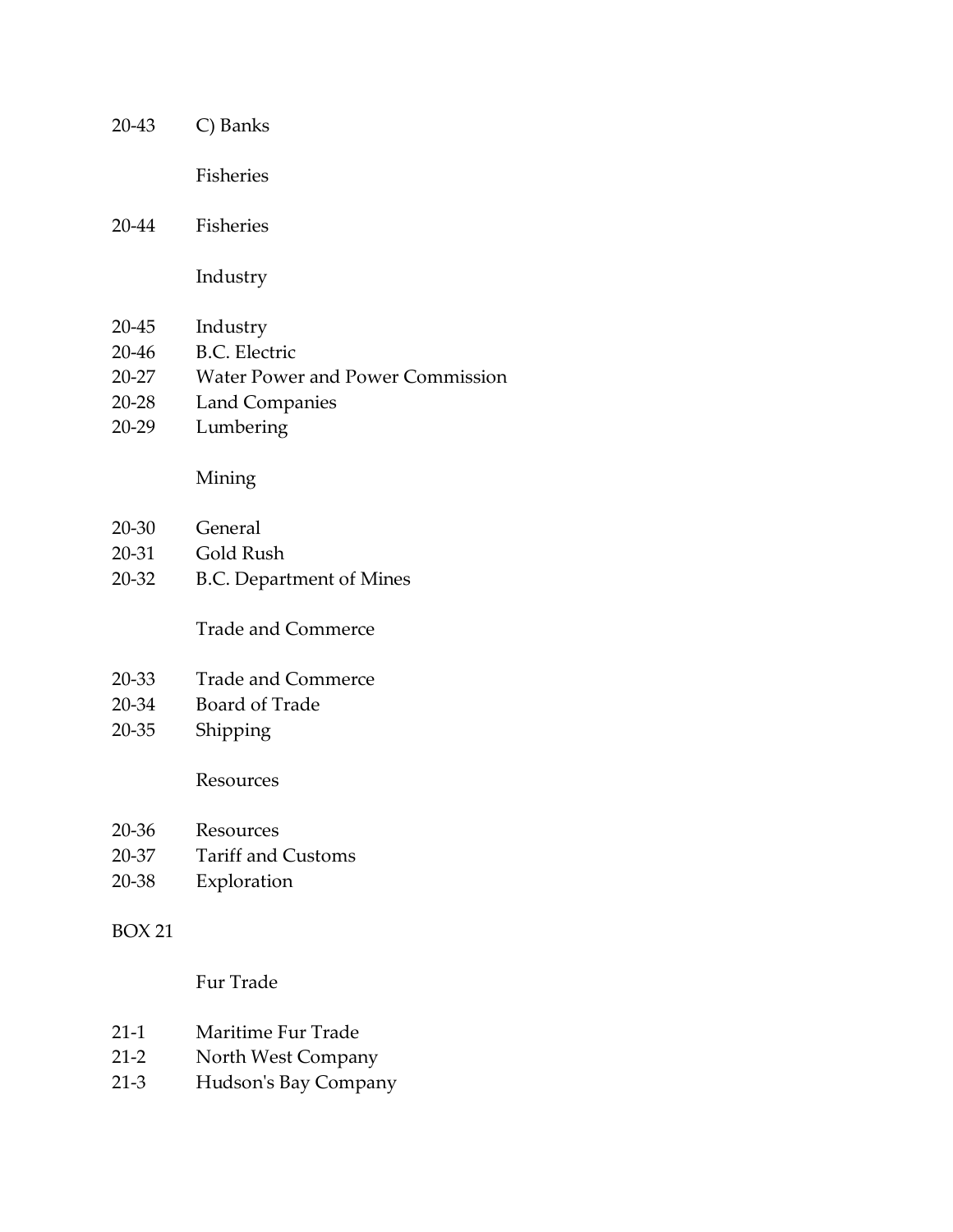| 20-43         | C) Banks                                |
|---------------|-----------------------------------------|
|               | <b>Fisheries</b>                        |
| 20-44         | Fisheries                               |
|               | Industry                                |
| 20-45         | Industry                                |
| 20-46         | <b>B.C.</b> Electric                    |
| 20-27         | <b>Water Power and Power Commission</b> |
| 20-28         | <b>Land Companies</b>                   |
| 20-29         | Lumbering                               |
|               | Mining                                  |
| 20-30         | General                                 |
| 20-31         | Gold Rush                               |
| 20-32         | <b>B.C. Department of Mines</b>         |
|               | <b>Trade and Commerce</b>               |
| 20-33         | <b>Trade and Commerce</b>               |
| 20-34         | <b>Board of Trade</b>                   |
| $20 - 35$     | Shipping                                |
|               | Resources                               |
| 20-36         | Resources                               |
| 20-37         | <b>Tariff and Customs</b>               |
| 20-38         | Exploration                             |
| <b>BOX 21</b> |                                         |
|               | Fur Trade                               |
| $21-1$        | Maritime Fur Trade                      |
| $21-2$        | North West Company                      |
| $21-3$        | Hudson's Bay Company                    |
|               |                                         |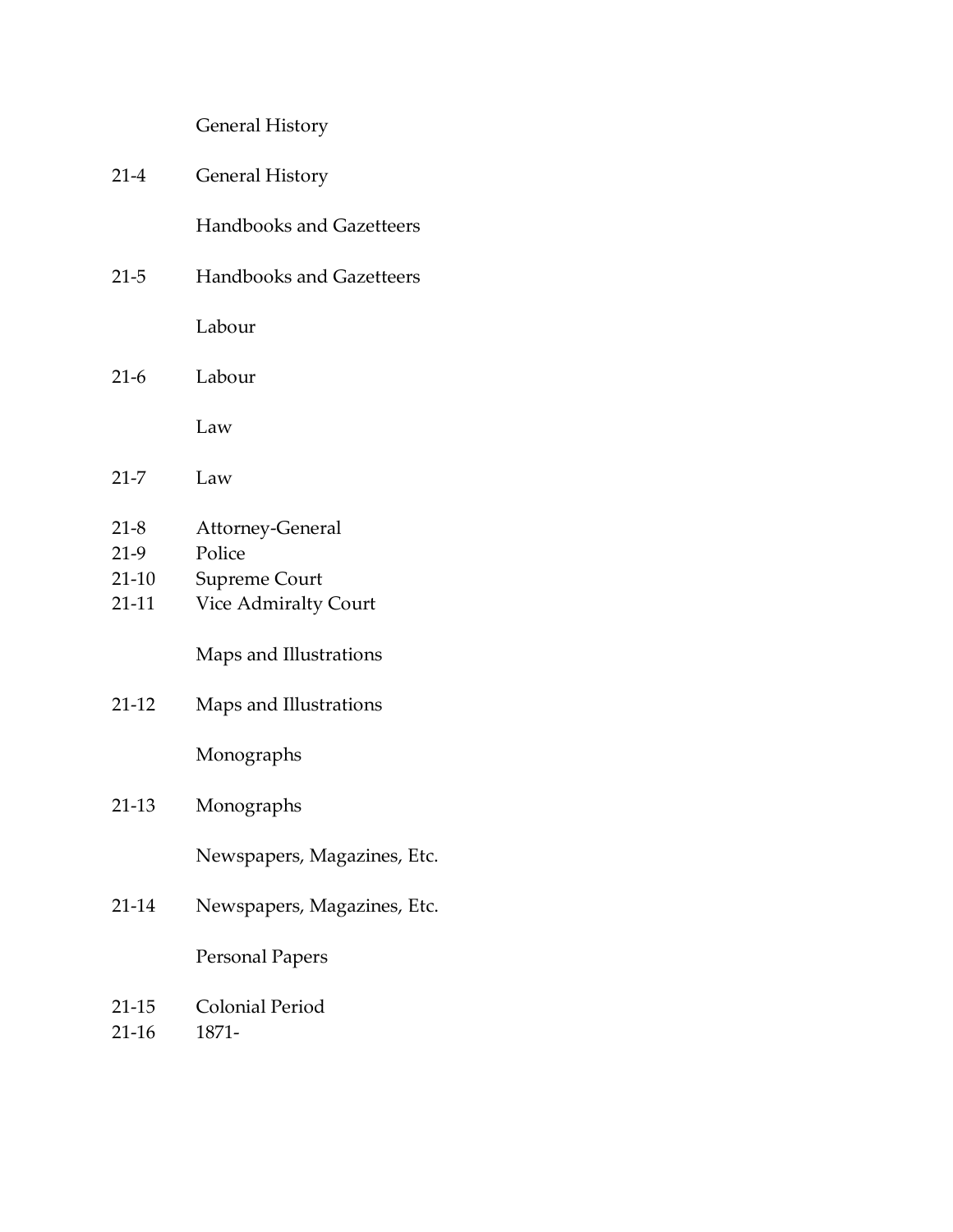# General History

| $21 - 4$                             | <b>General History</b>                                              |  |
|--------------------------------------|---------------------------------------------------------------------|--|
|                                      | <b>Handbooks and Gazetteers</b>                                     |  |
| $21 - 5$                             | <b>Handbooks and Gazetteers</b>                                     |  |
|                                      | Labour                                                              |  |
| $21-6$                               | Labour                                                              |  |
|                                      | Law                                                                 |  |
| $21 - 7$                             | Law                                                                 |  |
| $21-8$<br>$21-9$<br>$21-10$<br>21-11 | Attorney-General<br>Police<br>Supreme Court<br>Vice Admiralty Court |  |
| $21-12$                              | Maps and Illustrations<br>Maps and Illustrations                    |  |
|                                      | Monographs                                                          |  |
| $21-13$                              | Monographs                                                          |  |
|                                      | Newspapers, Magazines, Etc.                                         |  |
| 21-14                                | Newspapers, Magazines, Etc.                                         |  |
|                                      | <b>Personal Papers</b>                                              |  |
| 21-15<br>$21-16$                     | Colonial Period<br>1871-                                            |  |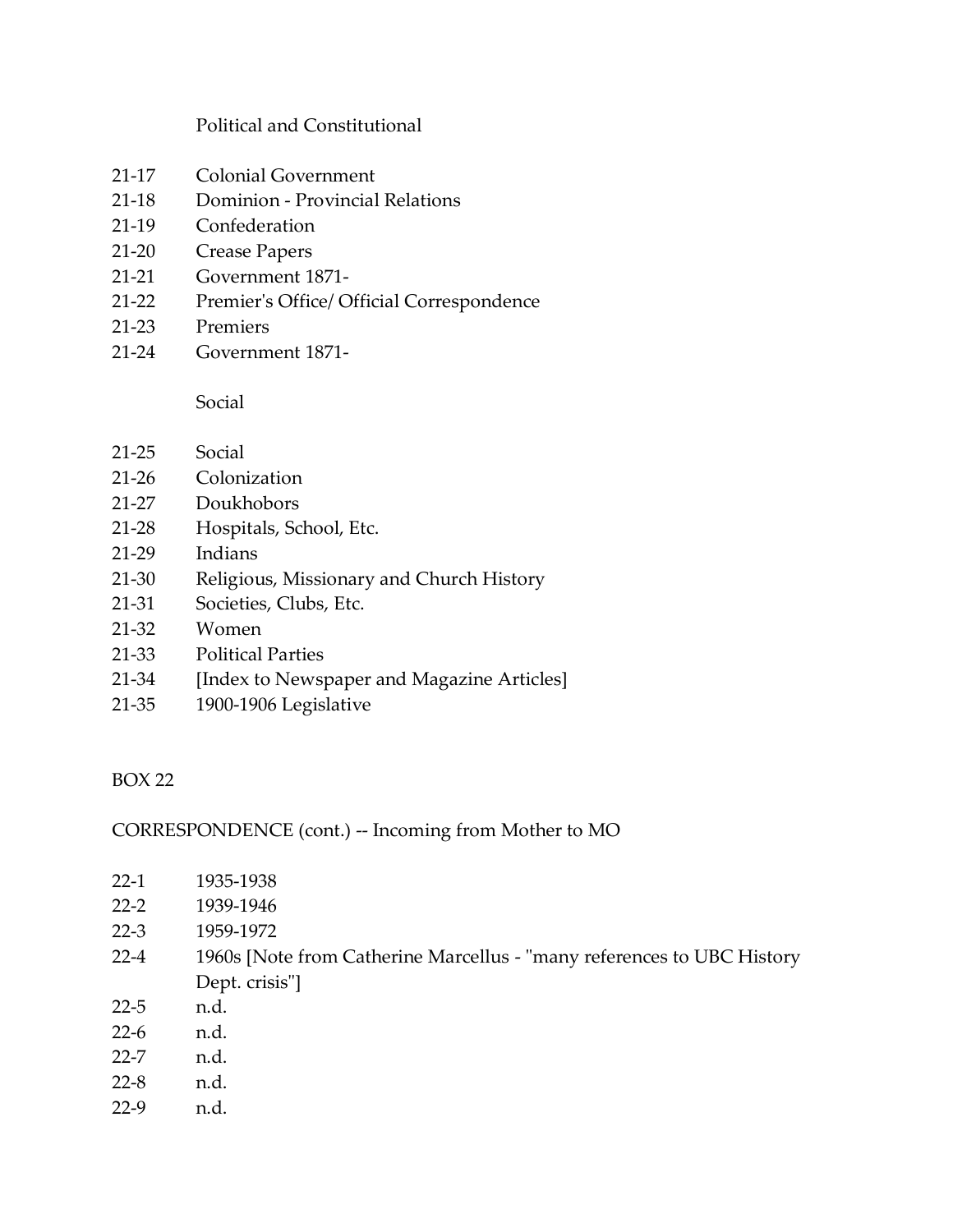#### Political and Constitutional

- 21-17 Colonial Government
- 21-18 Dominion Provincial Relations
- 21-19 Confederation
- 21-20 Crease Papers
- 21-21 Government 1871-
- 21-22 Premier's Office/ Official Correspondence
- 21-23 Premiers
- 21-24 Government 1871-

Social

- 21-25 Social
- 21-26 Colonization
- 21-27 Doukhobors
- 21-28 Hospitals, School, Etc.
- 21-29 Indians
- 21-30 Religious, Missionary and Church History
- 21-31 Societies, Clubs, Etc.
- 21-32 Women
- 21-33 Political Parties
- 21-34 [Index to Newspaper and Magazine Articles]
- 21-35 1900-1906 Legislative

### <span id="page-34-0"></span>BOX 22

### CORRESPONDENCE (cont.) -- Incoming from Mother to MO

- 22-1 1935-1938
- 22-2 1939-1946
- 22-3 1959-1972
- 22-4 1960s [Note from Catherine Marcellus "many references to UBC History Dept. crisis"]
- 22-5 n.d.
- 22-6 n.d.
- 22-7 n.d.
- 22-8 n.d.
- 22-9 n.d.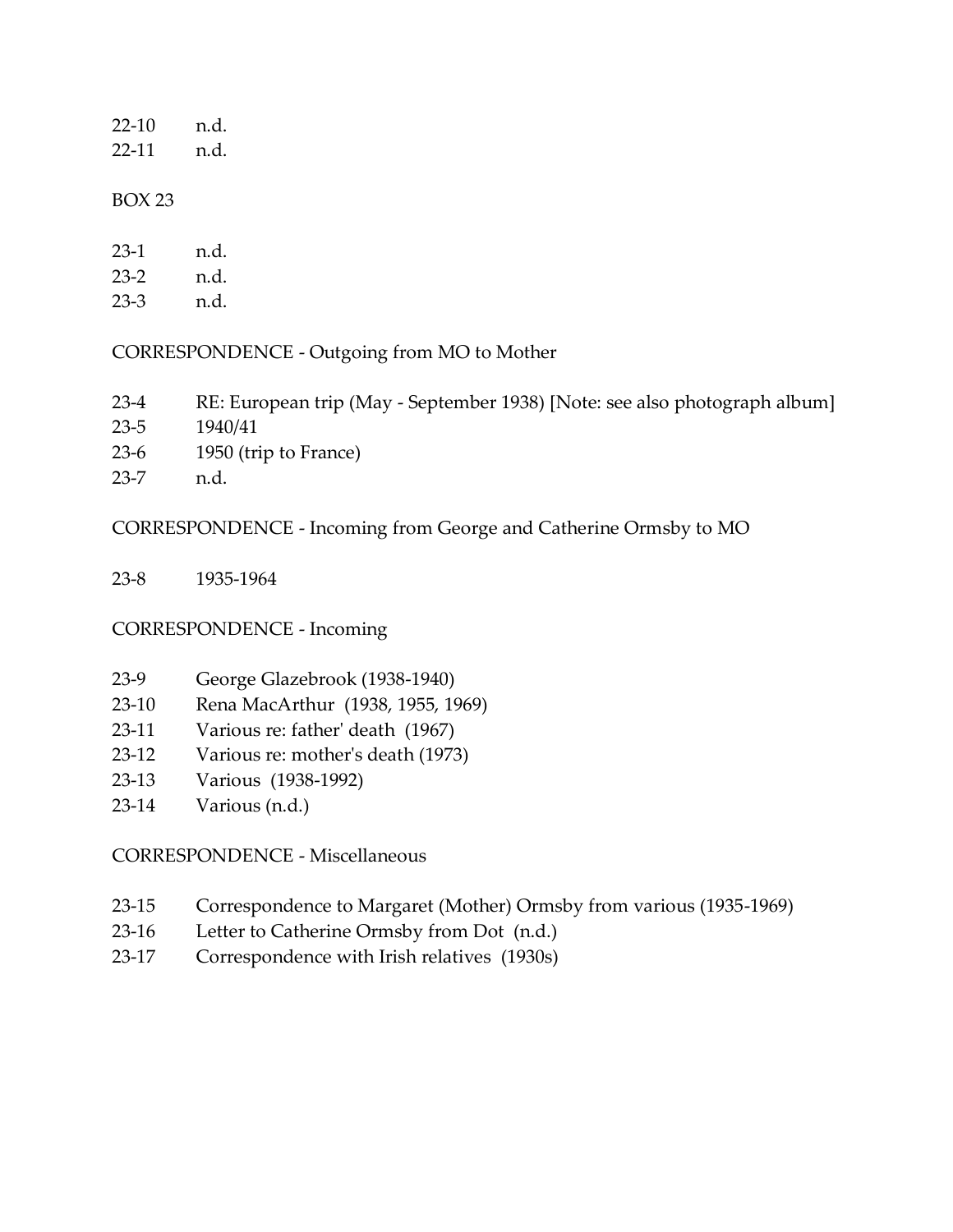| 22-10 | n.d. |
|-------|------|
| 22-11 | n.d. |
|       |      |

| $23-1$ | n.d. |
|--------|------|
| $23-2$ | n.d. |
| 23-3   | n.d. |

#### CORRESPONDENCE - Outgoing from MO to Mother

- 23-4 RE: European trip (May September 1938) [Note: see also photograph album]
- 23-5 1940/41
- 23-6 1950 (trip to France)
- 23-7 n.d.

#### CORRESPONDENCE - Incoming from George and Catherine Ormsby to MO

23-8 1935-1964

### CORRESPONDENCE - Incoming

- 23-9 George Glazebrook (1938-1940)
- 23-10 Rena MacArthur (1938, 1955, 1969)
- 23-11 Various re: father' death (1967)
- 23-12 Various re: mother's death (1973)
- 23-13 Various (1938-1992)
- 23-14 Various (n.d.)

### CORRESPONDENCE - Miscellaneous

- 23-15 Correspondence to Margaret (Mother) Ormsby from various (1935-1969)
- 23-16 Letter to Catherine Ormsby from Dot (n.d.)
- 23-17 Correspondence with Irish relatives (1930s)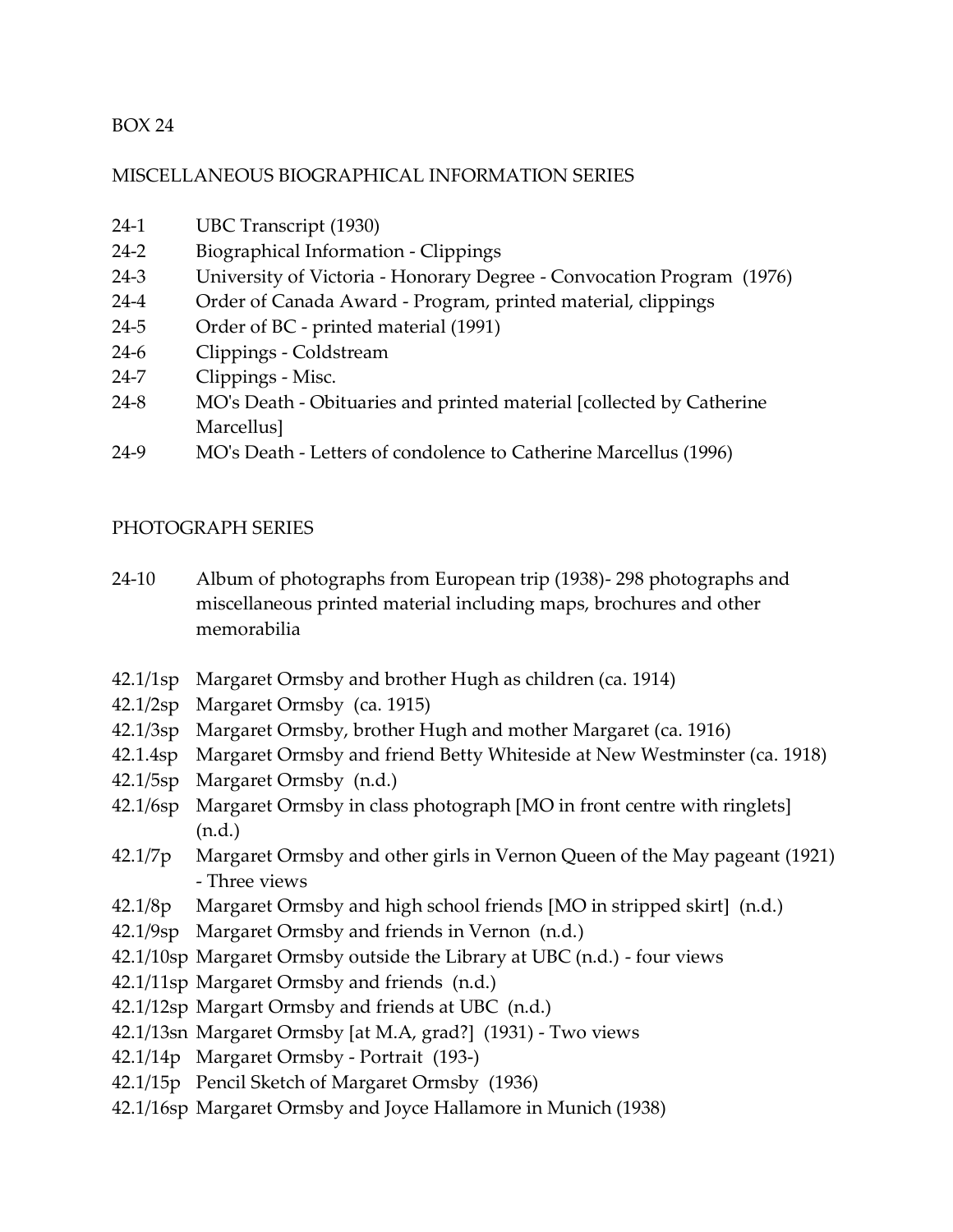#### <span id="page-36-0"></span>MISCELLANEOUS BIOGRAPHICAL INFORMATION SERIES

- 24-1 UBC Transcript (1930)
- 24-2 Biographical Information Clippings
- 24-3 University of Victoria Honorary Degree Convocation Program (1976)
- 24-4 Order of Canada Award Program, printed material, clippings
- 24-5 Order of BC printed material (1991)
- 24-6 Clippings Coldstream
- 24-7 Clippings Misc.
- 24-8 MO's Death Obituaries and printed material [collected by Catherine Marcellus]
- 24-9 MO's Death Letters of condolence to Catherine Marcellus (1996)

#### <span id="page-36-1"></span>PHOTOGRAPH SERIES

- 24-10 Album of photographs from European trip (1938)- 298 photographs and miscellaneous printed material including maps, brochures and other memorabilia
- 42.1/1sp Margaret Ormsby and brother Hugh as children (ca. 1914)
- 42.1/2sp Margaret Ormsby (ca. 1915)
- 42.1/3sp Margaret Ormsby, brother Hugh and mother Margaret (ca. 1916)
- 42.1.4sp Margaret Ormsby and friend Betty Whiteside at New Westminster (ca. 1918)
- 42.1/5sp Margaret Ormsby (n.d.)
- 42.1/6sp Margaret Ormsby in class photograph [MO in front centre with ringlets] (n.d.)
- 42.1/7p Margaret Ormsby and other girls in Vernon Queen of the May pageant (1921) - Three views
- 42.1/8p Margaret Ormsby and high school friends [MO in stripped skirt] (n.d.)
- 42.1/9sp Margaret Ormsby and friends in Vernon (n.d.)
- 42.1/10sp Margaret Ormsby outside the Library at UBC (n.d.) four views
- 42.1/11sp Margaret Ormsby and friends (n.d.)
- 42.1/12sp Margart Ormsby and friends at UBC (n.d.)
- 42.1/13sn Margaret Ormsby [at M.A, grad?] (1931) Two views
- 42.1/14p Margaret Ormsby Portrait (193-)
- 42.1/15p Pencil Sketch of Margaret Ormsby (1936)
- 42.1/16sp Margaret Ormsby and Joyce Hallamore in Munich (1938)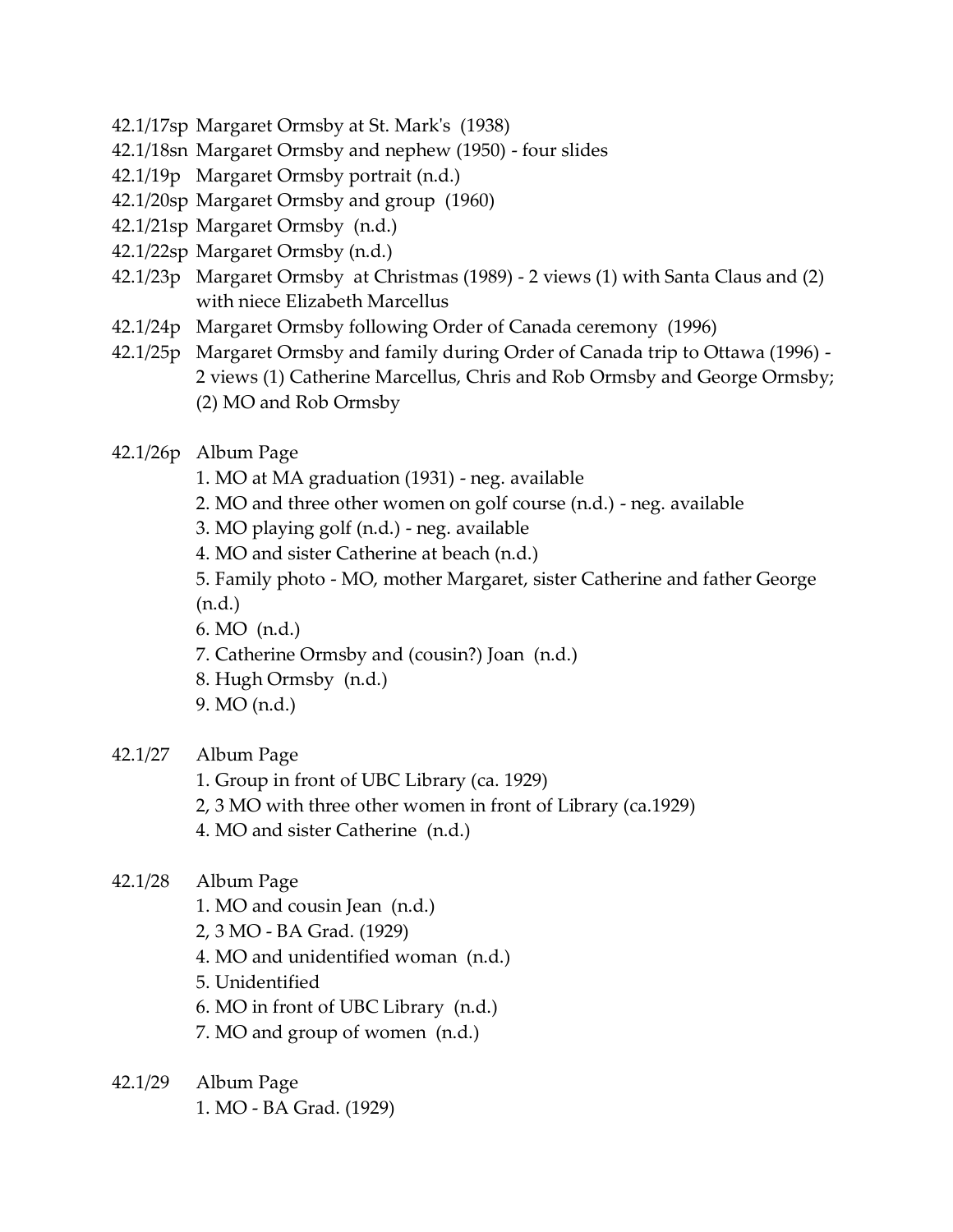- 42.1/17sp Margaret Ormsby at St. Mark's (1938)
- 42.1/18sn Margaret Ormsby and nephew (1950) four slides
- 42.1/19p Margaret Ormsby portrait (n.d.)
- 42.1/20sp Margaret Ormsby and group (1960)
- 42.1/21sp Margaret Ormsby (n.d.)
- 42.1/22sp Margaret Ormsby (n.d.)
- 42.1/23p Margaret Ormsby at Christmas (1989) 2 views (1) with Santa Claus and (2) with niece Elizabeth Marcellus
- 42.1/24p Margaret Ormsby following Order of Canada ceremony (1996)
- 42.1/25p Margaret Ormsby and family during Order of Canada trip to Ottawa (1996) 2 views (1) Catherine Marcellus, Chris and Rob Ormsby and George Ormsby; (2) MO and Rob Ormsby
- 42.1/26p Album Page
	- 1. MO at MA graduation (1931) neg. available
	- 2. MO and three other women on golf course (n.d.) neg. available
	- 3. MO playing golf (n.d.) neg. available
	- 4. MO and sister Catherine at beach (n.d.)
	- 5. Family photo MO, mother Margaret, sister Catherine and father George
	- (n.d.)
	- 6. MO (n.d.)
	- 7. Catherine Ormsby and (cousin?) Joan (n.d.)
	- 8. Hugh Ormsby (n.d.)
	- 9. MO (n.d.)
- 42.1/27 Album Page
	- 1. Group in front of UBC Library (ca. 1929)
	- 2, 3 MO with three other women in front of Library (ca.1929)
	- 4. MO and sister Catherine (n.d.)
- 42.1/28 Album Page
	- 1. MO and cousin Jean (n.d.)
	- 2, 3 MO BA Grad. (1929)
	- 4. MO and unidentified woman (n.d.)
	- 5. Unidentified
	- 6. MO in front of UBC Library (n.d.)
	- 7. MO and group of women (n.d.)
- 42.1/29 Album Page 1. MO - BA Grad. (1929)